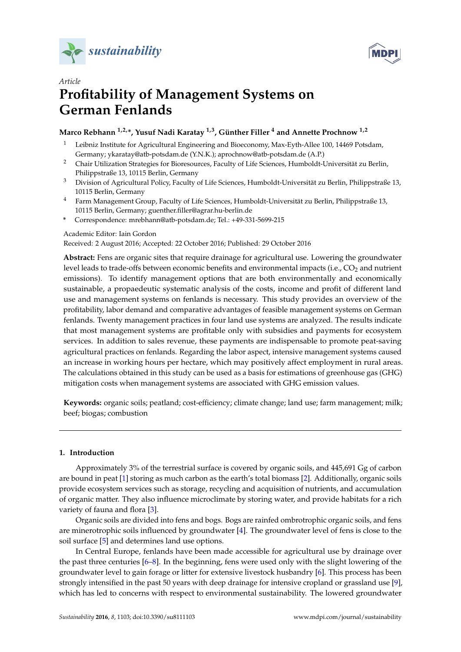



# *Article* **Profitability of Management Systems on German Fenlands**

## **Marco Rebhann 1,2,\*, Yusuf Nadi Karatay 1,3, Günther Filler <sup>4</sup> and Annette Prochnow 1,2**

- <sup>1</sup> Leibniz Institute for Agricultural Engineering and Bioeconomy, Max-Eyth-Allee 100, 14469 Potsdam, Germany; ykaratay@atb-potsdam.de (Y.N.K.); aprochnow@atb-potsdam.de (A.P.)
- <sup>2</sup> Chair Utilization Strategies for Bioresources, Faculty of Life Sciences, Humboldt-Universität zu Berlin, Philippstraße 13, 10115 Berlin, Germany
- <sup>3</sup> Division of Agricultural Policy, Faculty of Life Sciences, Humboldt-Universität zu Berlin, Philippstraße 13, 10115 Berlin, Germany
- <sup>4</sup> Farm Management Group, Faculty of Life Sciences, Humboldt-Universität zu Berlin, Philippstraße 13, 10115 Berlin, Germany; guenther.filler@agrar.hu-berlin.de
- **\*** Correspondence: mrebhann@atb-potsdam.de; Tel.: +49-331-5699-215

## Academic Editor: Iain Gordon

Received: 2 August 2016; Accepted: 22 October 2016; Published: 29 October 2016

**Abstract:** Fens are organic sites that require drainage for agricultural use. Lowering the groundwater level leads to trade-offs between economic benefits and environmental impacts (i.e.,  $CO<sub>2</sub>$  and nutrient emissions). To identify management options that are both environmentally and economically sustainable, a propaedeutic systematic analysis of the costs, income and profit of different land use and management systems on fenlands is necessary. This study provides an overview of the profitability, labor demand and comparative advantages of feasible management systems on German fenlands. Twenty management practices in four land use systems are analyzed. The results indicate that most management systems are profitable only with subsidies and payments for ecosystem services. In addition to sales revenue, these payments are indispensable to promote peat-saving agricultural practices on fenlands. Regarding the labor aspect, intensive management systems caused an increase in working hours per hectare, which may positively affect employment in rural areas. The calculations obtained in this study can be used as a basis for estimations of greenhouse gas (GHG) mitigation costs when management systems are associated with GHG emission values.

**Keywords:** organic soils; peatland; cost-efficiency; climate change; land use; farm management; milk; beef; biogas; combustion

## **1. Introduction**

Approximately 3% of the terrestrial surface is covered by organic soils, and 445,691 Gg of carbon are bound in peat [\[1\]](#page-16-0) storing as much carbon as the earth's total biomass [\[2\]](#page-16-1). Additionally, organic soils provide ecosystem services such as storage, recycling and acquisition of nutrients, and accumulation of organic matter. They also influence microclimate by storing water, and provide habitats for a rich variety of fauna and flora [\[3\]](#page-16-2).

Organic soils are divided into fens and bogs. Bogs are rainfed ombrotrophic organic soils, and fens are minerotrophic soils influenced by groundwater  $[4]$ . The groundwater level of fens is close to the soil surface [\[5\]](#page-17-0) and determines land use options.

In Central Europe, fenlands have been made accessible for agricultural use by drainage over the past three centuries [\[6–](#page-17-1)[8\]](#page-17-2). In the beginning, fens were used only with the slight lowering of the groundwater level to gain forage or litter for extensive livestock husbandry [\[6\]](#page-17-1). This process has been strongly intensified in the past 50 years with deep drainage for intensive cropland or grassland use [\[9\]](#page-17-3), which has led to concerns with respect to environmental sustainability. The lowered groundwater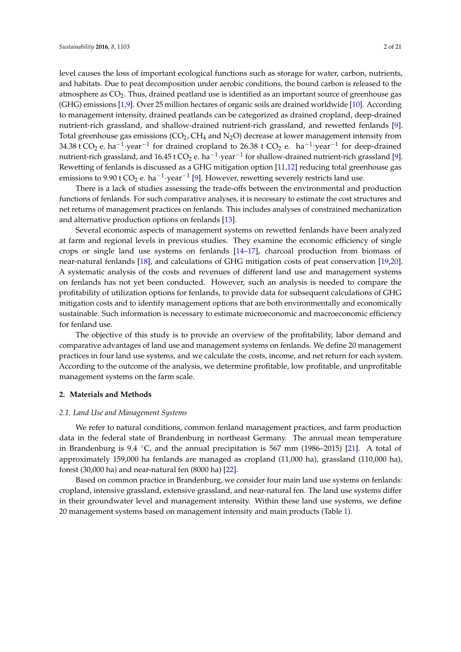level causes the loss of important ecological functions such as storage for water, carbon, nutrients, and habitats. Due to peat decomposition under aerobic conditions, the bound carbon is released to the atmosphere as  $CO<sub>2</sub>$ . Thus, drained peatland use is identified as an important source of greenhouse gas (GHG) emissions [\[1](#page-16-0)[,9\]](#page-17-3). Over 25 million hectares of organic soils are drained worldwide [\[10\]](#page-17-4). According to management intensity, drained peatlands can be categorized as drained cropland, deep-drained nutrient-rich grassland, and shallow-drained nutrient-rich grassland, and rewetted fenlands [\[9\]](#page-17-3). Total greenhouse gas emissions ( $CO<sub>2</sub>$ , CH<sub>4</sub> and N<sub>2</sub>O) decrease at lower management intensity from 34.38 t CO<sub>2</sub> e. ha<sup>-1</sup>·year<sup>-1</sup> for drained cropland to 26.38 t CO<sub>2</sub> e. ha<sup>-1</sup>·year<sup>-1</sup> for deep-drained nutrient-rich grassland, and  $16.45$  t  $\rm CO_2$  e. ha $^{-1}$  year $^{-1}$  for shallow-drained nutrient-rich grassland [\[9\]](#page-17-3). Rewetting of fenlands is discussed as a GHG mitigation option [\[11](#page-17-5)[,12\]](#page-17-6) reducing total greenhouse gas emissions to 9.90 t CO<sub>2</sub> e. ha<sup>-1</sup>·year<sup>-1</sup> [\[9\]](#page-17-3). However, rewetting severely restricts land use.

There is a lack of studies assessing the trade-offs between the environmental and production functions of fenlands. For such comparative analyses, it is necessary to estimate the cost structures and net returns of management practices on fenlands. This includes analyses of constrained mechanization and alternative production options on fenlands [\[13\]](#page-17-7).

Several economic aspects of management systems on rewetted fenlands have been analyzed at farm and regional levels in previous studies. They examine the economic efficiency of single crops or single land use systems on fenlands [\[14](#page-17-8)[–17\]](#page-17-9), charcoal production from biomass of near-natural fenlands [\[18\]](#page-17-10), and calculations of GHG mitigation costs of peat conservation [\[19,](#page-17-11)[20\]](#page-17-12). A systematic analysis of the costs and revenues of different land use and management systems on fenlands has not yet been conducted. However, such an analysis is needed to compare the profitability of utilization options for fenlands, to provide data for subsequent calculations of GHG mitigation costs and to identify management options that are both environmentally and economically sustainable. Such information is necessary to estimate microeconomic and macroeconomic efficiency for fenland use.

The objective of this study is to provide an overview of the profitability, labor demand and comparative advantages of land use and management systems on fenlands. We define 20 management practices in four land use systems, and we calculate the costs, income, and net return for each system. According to the outcome of the analysis, we determine profitable, low profitable, and unprofitable management systems on the farm scale.

## **2. Materials and Methods**

### *2.1. Land Use and Management Systems*

We refer to natural conditions, common fenland management practices, and farm production data in the federal state of Brandenburg in northeast Germany. The annual mean temperature in Brandenburg is 9.4 °C, and the annual precipitation is 567 mm (1986–2015) [\[21\]](#page-17-13). A total of approximately 159,000 ha fenlands are managed as cropland (11,000 ha), grassland (110,000 ha), forest (30,000 ha) and near-natural fen (8000 ha) [\[22\]](#page-17-14).

Based on common practice in Brandenburg, we consider four main land use systems on fenlands: cropland, intensive grassland, extensive grassland, and near-natural fen. The land use systems differ in their groundwater level and management intensity. Within these land use systems, we define 20 management systems based on management intensity and main products (Table [1\)](#page-2-0).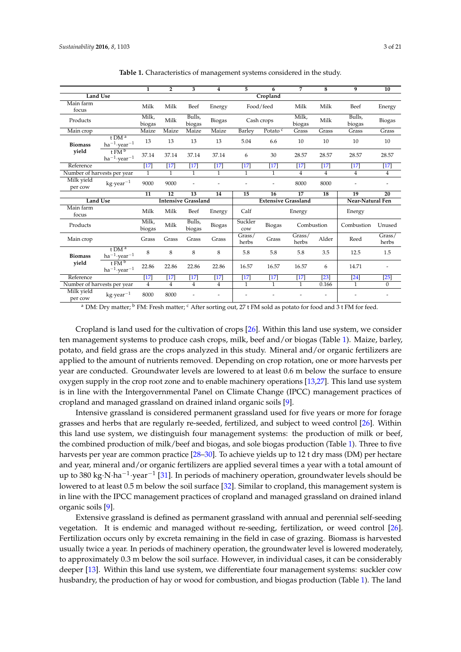<span id="page-2-0"></span>

|                             |                                             | $\mathbf{1}$    | $\overline{2}$ | 3                          | 4              | 5               | 6                          | 7                       | 8              | 9                       | 10              |
|-----------------------------|---------------------------------------------|-----------------|----------------|----------------------------|----------------|-----------------|----------------------------|-------------------------|----------------|-------------------------|-----------------|
| <b>Land Use</b>             |                                             |                 |                |                            |                |                 | Cropland                   |                         |                |                         |                 |
| Main farm<br>focus          |                                             | Milk            | Milk           | Beef                       | Energy         |                 | Food/feed                  | Milk                    | Milk           | Beef                    | Energy          |
| Products                    |                                             | Milk,<br>biogas | Milk           | Bulls,<br>biogas           | Biogas         |                 | Cash crops                 | Milk,<br>Milk<br>biogas |                | Bulls,<br>biogas        | Biogas          |
| Main crop                   |                                             | Maize           | Maize          | Maize                      | Maize          | Barley          | Potato <sup>c</sup>        | Grass                   | Grass          | Grass                   | Grass           |
| <b>Biomass</b>              | $t$ DM $a$<br>$ha^{-1}$ ·year <sup>-1</sup> | 13              | 13             | 13                         | 13             | 5.04            | 6.6                        | 10                      | 10             | 10                      | 10              |
| vield                       | $t$ FM $b$<br>$ha^{-1}$ ·year <sup>-1</sup> | 37.14           | 37.14          | 37.14                      | 37.14          | 6               | 30                         | 28.57                   | 28.57          | 28.57                   | 28.57           |
| Reference                   |                                             | $[17]$          | $[17]$         | $[17]$                     | $[17]$         | $[17]$          | $[17]$                     | $[17]$                  | $[17]$         | $[17]$                  | $[17]$          |
| Number of harvests per year |                                             | $\mathbf{1}$    | $\mathbf{1}$   | $\mathbf{1}$               | $\mathbf{1}$   | $\mathbf{1}$    | 1                          | 4                       | $\overline{4}$ | 4                       | $\overline{4}$  |
| Milk yield<br>per cow       | $kg$ year <sup>-1</sup>                     | 9000            | 9000           |                            |                |                 |                            | 8000                    | 8000           |                         |                 |
|                             |                                             | 11              | 12             | 13                         | 14             | 15              | 16                         | 17                      | 18             | 19                      | 20              |
| <b>Land Use</b>             |                                             |                 |                | <b>Intensive Grassland</b> |                |                 | <b>Extensive Grassland</b> |                         |                | <b>Near-Natural Fen</b> |                 |
| Main farm<br>focus          |                                             | Milk            | Milk           | Beef                       | Energy         | Calf            |                            | Energy                  |                | Energy                  |                 |
| Products                    |                                             | Milk,<br>biogas | Milk           | Bulls,<br>biogas           | Biogas         | Suckler<br>cow  | <b>Biogas</b>              | Combustion              |                | Combustion              | Unused          |
| Main crop                   |                                             | Grass           | Grass          | Grass                      | Grass          | Grass/<br>herbs | Grass                      | Grass/<br>herbs         | Alder          | Reed                    | Grass/<br>herbs |
| <b>Biomass</b>              | $t$ DM $a$<br>$ha^{-1}$ ·year <sup>-1</sup> | 8               | 8              | 8                          | 8              | 5.8             | 5.8                        | 5.8                     | 3.5            | 12.5                    | 1.5             |
| vield                       | $t$ FM $b$<br>$ha^{-1}$ year <sup>-1</sup>  | 22.86           | 22.86          | 22.86                      | 22.86          | 16.57           | 16.57                      | 16.57                   | 6              | 14.71                   |                 |
| Reference                   |                                             | $[17]$          | $[17]$         | $[17]$                     | $[17]$         | $[17]$          | [17]                       | $[17]$                  | $[23]$         | $[24]$                  | $[25]$          |
| Number of harvests per year |                                             | $\overline{4}$  | $\overline{4}$ | $\overline{4}$             | $\overline{4}$ | $\mathbf{1}$    | $\mathbf{1}$               | $\mathbf{1}$            | 0.166          | $\mathbf{1}$            | $\Omega$        |
| Milk vield<br>per cow       | $kg$ year <sup>-1</sup>                     | 8000            | 8000           |                            |                |                 |                            |                         |                |                         |                 |

**Table 1.** Characteristics of management systems considered in the study.

<sup>a</sup> DM: Dry matter; <sup>b</sup> FM: Fresh matter; <sup>c</sup> After sorting out, 27 t FM sold as potato for food and 3 t FM for feed.

Cropland is land used for the cultivation of crops [\[26\]](#page-18-1). Within this land use system, we consider ten management systems to produce cash crops, milk, beef and/or biogas (Table [1\)](#page-2-0). Maize, barley, potato, and field grass are the crops analyzed in this study. Mineral and/or organic fertilizers are applied to the amount of nutrients removed. Depending on crop rotation, one or more harvests per year are conducted. Groundwater levels are lowered to at least 0.6 m below the surface to ensure oxygen supply in the crop root zone and to enable machinery operations [\[13](#page-17-7)[,27\]](#page-18-2). This land use system is in line with the Intergovernmental Panel on Climate Change (IPCC) management practices of cropland and managed grassland on drained inland organic soils [\[9\]](#page-17-3).

Intensive grassland is considered permanent grassland used for five years or more for forage grasses and herbs that are regularly re-seeded, fertilized, and subject to weed control [\[26\]](#page-18-1). Within this land use system, we distinguish four management systems: the production of milk or beef, the combined production of milk/beef and biogas, and sole biogas production (Table [1\)](#page-2-0). Three to five harvests per year are common practice [\[28](#page-18-3)[–30\]](#page-18-4). To achieve yields up to 12 t dry mass (DM) per hectare and year, mineral and/or organic fertilizers are applied several times a year with a total amount of up to 380 kg·N·ha<sup>-1</sup>·year<sup>-1</sup> [\[31\]](#page-18-5). In periods of machinery operation, groundwater levels should be lowered to at least 0.5 m below the soil surface [\[32\]](#page-18-6). Similar to cropland, this management system is in line with the IPCC management practices of cropland and managed grassland on drained inland organic soils [\[9\]](#page-17-3).

Extensive grassland is defined as permanent grassland with annual and perennial self-seeding vegetation. It is endemic and managed without re-seeding, fertilization, or weed control [\[26\]](#page-18-1). Fertilization occurs only by excreta remaining in the field in case of grazing. Biomass is harvested usually twice a year. In periods of machinery operation, the groundwater level is lowered moderately, to approximately 0.3 m below the soil surface. However, in individual cases, it can be considerably deeper [\[13\]](#page-17-7). Within this land use system, we differentiate four management systems: suckler cow husbandry, the production of hay or wood for combustion, and biogas production (Table [1\)](#page-2-0). The land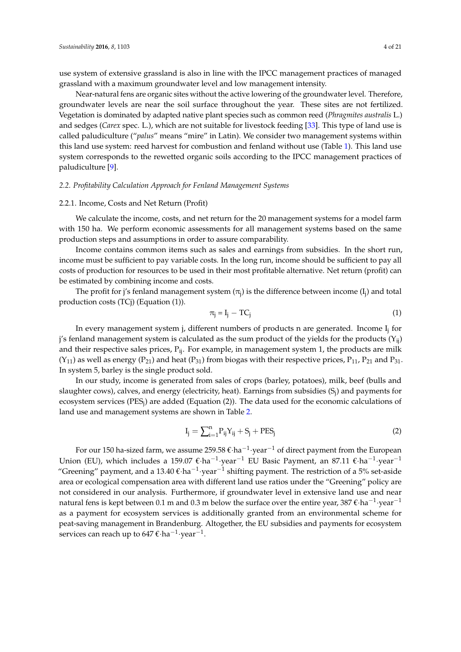use system of extensive grassland is also in line with the IPCC management practices of managed grassland with a maximum groundwater level and low management intensity.

Near-natural fens are organic sites without the active lowering of the groundwater level. Therefore, groundwater levels are near the soil surface throughout the year. These sites are not fertilized. Vegetation is dominated by adapted native plant species such as common reed (*Phragmites australis* L.) and sedges (*Carex* spec. L.), which are not suitable for livestock feeding [\[33\]](#page-18-7). This type of land use is called paludiculture ("*palus*" means "mire" in Latin). We consider two management systems within this land use system: reed harvest for combustion and fenland without use (Table [1\)](#page-2-0). This land use system corresponds to the rewetted organic soils according to the IPCC management practices of paludiculture [\[9\]](#page-17-3).

## *2.2. Profitability Calculation Approach for Fenland Management Systems*

## 2.2.1. Income, Costs and Net Return (Profit)

We calculate the income, costs, and net return for the 20 management systems for a model farm with 150 ha. We perform economic assessments for all management systems based on the same production steps and assumptions in order to assure comparability.

Income contains common items such as sales and earnings from subsidies. In the short run, income must be sufficient to pay variable costs. In the long run, income should be sufficient to pay all costs of production for resources to be used in their most profitable alternative. Net return (profit) can be estimated by combining income and costs.

The profit for j's fenland management system  $(\pi_j)$  is the difference between income (I<sub>j</sub>) and total production costs (TCj) (Equation (1)).

$$
\pi_j = I_j - TC_j \tag{1}
$$

In every management system j, different numbers of products n are generated. Income I<sub>j</sub> for j's fenland management system is calculated as the sum product of the yields for the products  $(Y_{ii})$ and their respective sales prices,  $P_{ii}$ . For example, in management system 1, the products are milk  $(Y_{11})$  as well as energy  $(P_{21})$  and heat  $(P_{31})$  from biogas with their respective prices,  $P_{11}$ ,  $P_{21}$  and  $P_{31}$ . In system 5, barley is the single product sold.

In our study, income is generated from sales of crops (barley, potatoes), milk, beef (bulls and slaughter cows), calves, and energy (electricity, heat). Earnings from subsidies (S<sub>j</sub>) and payments for ecosystem services (PES<sub>j</sub>) are added (Equation (2)). The data used for the economic calculations of land use and management systems are shown in Table [2.](#page-4-0)

$$
I_j = \sum_{i=1}^{n} P_{ij} Y_{ij} + S_j + PES_j
$$
 (2)

For our 150 ha-sized farm, we assume 259.58 €·ha $^{-1}\cdot$ year $^{-1}$  of direct payment from the European Union (EU), which includes a 159.07 €·ha<sup>-1</sup>·year<sup>-1</sup> EU Basic Payment, an 87.11 €·ha<sup>-1</sup>·year<sup>-1</sup> "Greening" payment, and a 13.40  $\epsilon$ ·ha<sup>-1</sup>·year<sup>-1</sup> shifting payment. The restriction of a 5% set-aside area or ecological compensation area with different land use ratios under the "Greening" policy are not considered in our analysis. Furthermore, if groundwater level in extensive land use and near natural fens is kept between 0.1 m and 0.3 m below the surface over the entire year, 387 €·ha<sup>-1</sup>·year<sup>-1</sup> as a payment for ecosystem services is additionally granted from an environmental scheme for peat-saving management in Brandenburg. Altogether, the EU subsidies and payments for ecosystem services can reach up to 647 €·ha $^{-1}\cdot$ year $^{-1}.$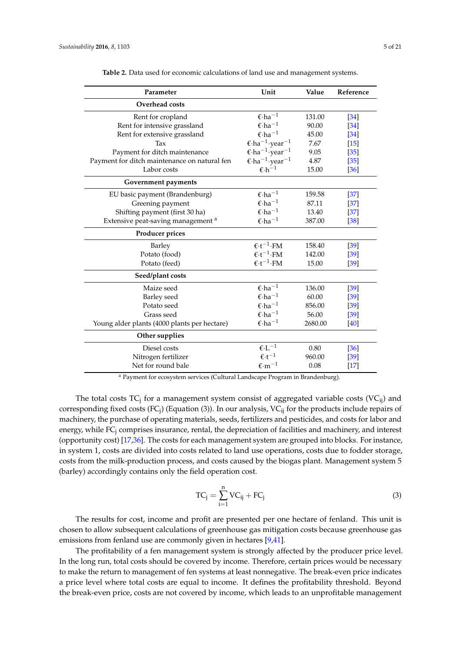<span id="page-4-0"></span>

| Parameter                                     | Unit                                                            | Value   | Reference         |
|-----------------------------------------------|-----------------------------------------------------------------|---------|-------------------|
| Overhead costs                                |                                                                 |         |                   |
| Rent for cropland                             | $\epsilon$ ·ha <sup>-1</sup>                                    | 131.00  | $\left[34\right]$ |
| Rent for intensive grassland                  | $\epsilon$ ·ha <sup>-1</sup>                                    | 90.00   | $\left[34\right]$ |
| Rent for extensive grassland                  | $\epsilon$ ·ha <sup>-1</sup>                                    | 45.00   | $[34]$            |
| Tax                                           | $\epsilon$ ·ha <sup>-1</sup> ·year <sup>-1</sup>                | 7.67    | $[15]$            |
| Payment for ditch maintenance                 | $\epsilon$ ·ha <sup>-1</sup> ·year <sup>-1</sup>                | 9.05    | [35]              |
| Payment for ditch maintenance on natural fen  | $\epsilon$ ·ha <sup>-1</sup> ·year <sup>-1</sup>                | 4.87    | $[35]$            |
| Labor costs                                   | $\epsilon \cdot h^{-1}$                                         | 15.00   | [36]              |
| Government payments                           |                                                                 |         |                   |
| EU basic payment (Brandenburg)                | $\epsilon$ ·ha <sup>-1</sup>                                    | 159.58  | $[37]$            |
| Greening payment                              | $\epsilon$ ·ha <sup>-1</sup>                                    | 87.11   | $\left[37\right]$ |
| Shifting payment (first 30 ha)                | $\epsilon$ ·ha <sup>-1</sup>                                    | 13.40   | $[37]$            |
| Extensive peat-saving management <sup>a</sup> | $\epsilon$ ·ha <sup>-1</sup>                                    | 387.00  | $[38]$            |
| Producer prices                               |                                                                 |         |                   |
| Barley                                        | $\epsilon$ ·t <sup>-1</sup> ·FM                                 | 158.40  | $[39]$            |
| Potato (food)                                 | $\mathbf{\epsilon}\!\cdot\!\mathbf{t}^{-1}\!\cdot\!\mathbf{FM}$ | 142.00  | [39]              |
| Potato (feed)                                 | $\epsilon$ ·t <sup>-1</sup> ·FM                                 | 15.00   | $[39]$            |
| Seed/plant costs                              |                                                                 |         |                   |
| Maize seed                                    | $\epsilon$ ·ha <sup>-1</sup>                                    | 136.00  | $[39]$            |
| Barley seed                                   | $\epsilon$ ·ha <sup>-1</sup>                                    | 60.00   | [39]              |
| Potato seed                                   | $\epsilon$ ·ha <sup>-1</sup>                                    | 856.00  | [39]              |
| Grass seed                                    | $\epsilon$ ·ha <sup>-1</sup>                                    | 56.00   | $[39]$            |
| Young alder plants (4000 plants per hectare)  | $\epsilon$ ·ha <sup>-1</sup>                                    | 2680.00 | [40]              |
| Other supplies                                |                                                                 |         |                   |
| Diesel costs                                  | $\epsilon$ ·L <sup>-1</sup>                                     | 0.80    | $[36]$            |
| Nitrogen fertilizer                           | $\epsilon$ + $t^{-1}$                                           | 960.00  | [39]              |
| Net for round bale                            | $\epsilon$ ·m <sup>-1</sup>                                     | 0.08    | $[17]$            |

**Table 2.** Data used for economic calculations of land use and management systems.

<sup>a</sup> Payment for ecosystem services (Cultural Landscape Program in Brandenburg).

The total costs TC<sub>j</sub> for a management system consist of aggregated variable costs (VC<sub>ij</sub>) and corresponding fixed costs (FC<sub>j</sub>) (Equation (3)). In our analysis, VC<sub>ij</sub> for the products include repairs of machinery, the purchase of operating materials, seeds, fertilizers and pesticides, and costs for labor and energy, while FC<sub>i</sub> comprises insurance, rental, the depreciation of facilities and machinery, and interest (opportunity cost) [\[17,](#page-17-9)[36\]](#page-18-10). The costs for each management system are grouped into blocks. For instance, in system 1, costs are divided into costs related to land use operations, costs due to fodder storage, costs from the milk-production process, and costs caused by the biogas plant. Management system 5 (barley) accordingly contains only the field operation cost.

$$
TC_j = \sum_{i=1}^{n} VC_{ij} + FC_j
$$
\n(3)

The results for cost, income and profit are presented per one hectare of fenland. This unit is chosen to allow subsequent calculations of greenhouse gas mitigation costs because greenhouse gas emissions from fenland use are commonly given in hectares [\[9](#page-17-3)[,41\]](#page-18-15).

The profitability of a fen management system is strongly affected by the producer price level. In the long run, total costs should be covered by income. Therefore, certain prices would be necessary to make the return to management of fen systems at least nonnegative. The break-even price indicates a price level where total costs are equal to income. It defines the profitability threshold. Beyond the break-even price, costs are not covered by income, which leads to an unprofitable management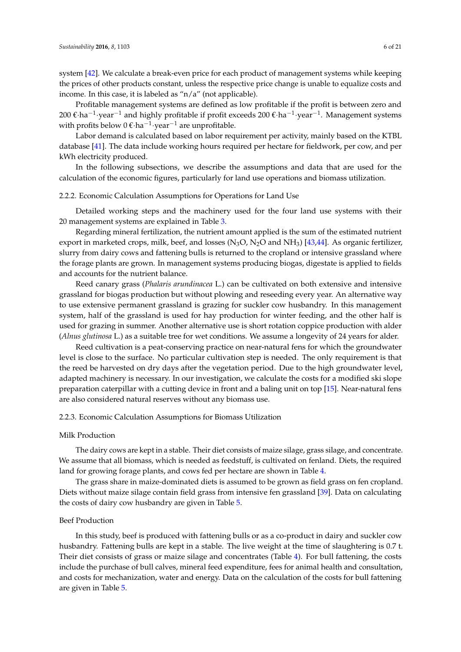system [\[42\]](#page-18-16). We calculate a break-even price for each product of management systems while keeping the prices of other products constant, unless the respective price change is unable to equalize costs and income. In this case, it is labeled as "n/a" (not applicable).

Profitable management systems are defined as low profitable if the profit is between zero and 200 €·ha<sup>-1</sup>·year<sup>-1</sup> and highly profitable if profit exceeds 200 €·ha<sup>-1</sup>·year<sup>-1</sup>. Management systems with profits below 0 €·ha<sup>-1</sup>·year<sup>-1</sup> are unprofitable.

Labor demand is calculated based on labor requirement per activity, mainly based on the KTBL database [\[41\]](#page-18-15). The data include working hours required per hectare for fieldwork, per cow, and per kWh electricity produced.

In the following subsections, we describe the assumptions and data that are used for the calculation of the economic figures, particularly for land use operations and biomass utilization.

#### 2.2.2. Economic Calculation Assumptions for Operations for Land Use

Detailed working steps and the machinery used for the four land use systems with their 20 management systems are explained in Table [3.](#page-6-0)

Regarding mineral fertilization, the nutrient amount applied is the sum of the estimated nutrient export in marketed crops, milk, beef, and losses  $(N_3O, N_2O$  and  $NH_3)$  [\[43,](#page-18-17)[44\]](#page-18-18). As organic fertilizer, slurry from dairy cows and fattening bulls is returned to the cropland or intensive grassland where the forage plants are grown. In management systems producing biogas, digestate is applied to fields and accounts for the nutrient balance.

Reed canary grass (*Phalaris arundinacea* L.) can be cultivated on both extensive and intensive grassland for biogas production but without plowing and reseeding every year. An alternative way to use extensive permanent grassland is grazing for suckler cow husbandry. In this management system, half of the grassland is used for hay production for winter feeding, and the other half is used for grazing in summer. Another alternative use is short rotation coppice production with alder (*Alnus glutinosa* L.) as a suitable tree for wet conditions. We assume a longevity of 24 years for alder.

Reed cultivation is a peat-conserving practice on near-natural fens for which the groundwater level is close to the surface. No particular cultivation step is needed. The only requirement is that the reed be harvested on dry days after the vegetation period. Due to the high groundwater level, adapted machinery is necessary. In our investigation, we calculate the costs for a modified ski slope preparation caterpillar with a cutting device in front and a baling unit on top [\[15\]](#page-17-17). Near-natural fens are also considered natural reserves without any biomass use.

#### 2.2.3. Economic Calculation Assumptions for Biomass Utilization

## Milk Production

The dairy cows are kept in a stable. Their diet consists of maize silage, grass silage, and concentrate. We assume that all biomass, which is needed as feedstuff, is cultivated on fenland. Diets, the required land for growing forage plants, and cows fed per hectare are shown in Table [4.](#page-7-0)

The grass share in maize-dominated diets is assumed to be grown as field grass on fen cropland. Diets without maize silage contain field grass from intensive fen grassland [\[39\]](#page-18-13). Data on calculating the costs of dairy cow husbandry are given in Table [5.](#page-8-0)

### Beef Production

In this study, beef is produced with fattening bulls or as a co-product in dairy and suckler cow husbandry. Fattening bulls are kept in a stable. The live weight at the time of slaughtering is 0.7 t. Their diet consists of grass or maize silage and concentrates (Table [4\)](#page-7-0). For bull fattening, the costs include the purchase of bull calves, mineral feed expenditure, fees for animal health and consultation, and costs for mechanization, water and energy. Data on the calculation of the costs for bull fattening are given in Table [5.](#page-8-0)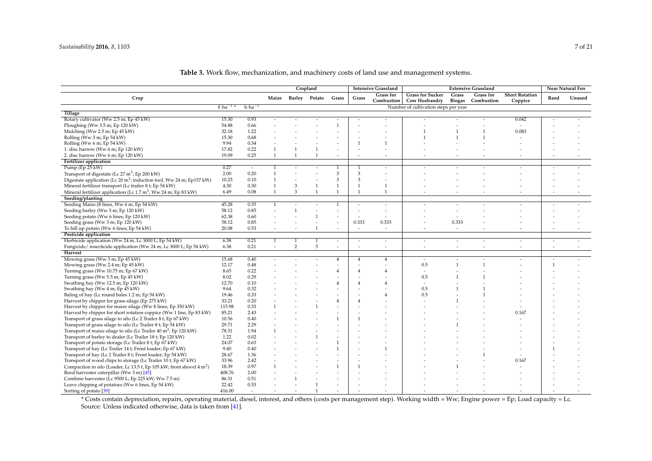|                                                                                      |                              |                   |                          |                     | Cropland     |                          |                          | <b>Intensive Grassland</b> | <b>Extensive Grassland</b>               |                        |                                | Near Natural Fen                 |              |        |
|--------------------------------------------------------------------------------------|------------------------------|-------------------|--------------------------|---------------------|--------------|--------------------------|--------------------------|----------------------------|------------------------------------------|------------------------|--------------------------------|----------------------------------|--------------|--------|
| Crop                                                                                 |                              |                   |                          | Maize Barley Potato |              | Grass                    | Grass                    | Grass for<br>Combustion    | <b>Grass for Sucker</b><br>Cow Husbandry | Grass<br><b>Biogas</b> | <b>Grass</b> for<br>Combustion | <b>Short Rotation</b><br>Coppice | Reed         | Unused |
|                                                                                      | $\epsilon$ ·ha <sup>-1</sup> | $h \cdot ha^{-1}$ |                          |                     |              |                          |                          |                            | Number of cultivation steps per year     |                        |                                |                                  |              |        |
| Tillage                                                                              |                              |                   |                          |                     |              |                          |                          |                            |                                          |                        |                                |                                  |              |        |
| Rotary cultivator (Ww 2.5 m; Ep 45 kW)                                               | 15.30                        | 0.93              |                          |                     |              |                          |                          |                            |                                          |                        |                                | 0.042                            |              |        |
| Ploughing (Ww 3.5 m; Ep 120 kW)                                                      | 54.88                        | 0.66              |                          |                     |              | $\mathbf{1}$             |                          |                            |                                          |                        |                                |                                  |              |        |
| Mulching (Ww 2.5 m; Ep 45 kW)                                                        | 32.18                        | 1.22              |                          |                     |              |                          |                          |                            |                                          |                        |                                | 0.083                            |              |        |
| Rolling (Ww 3 m; Ep 54 kW)                                                           | 15.30                        | 0.68              |                          |                     |              |                          |                          |                            |                                          |                        |                                |                                  |              |        |
| Rolling (Ww 6 m; Ep 54 kW)                                                           | 9.94                         | 0.34              |                          |                     |              |                          | $\overline{1}$           |                            |                                          |                        |                                |                                  |              |        |
| 1. disc harrow (Ww 6 m; Ep 120 kW)                                                   | 17.82                        | 0.22              | $\mathbf{1}$             |                     | 1            |                          |                          |                            |                                          |                        |                                |                                  |              |        |
| 2. disc harrow (Ww 6 m; Ep 120 kW)                                                   | 19.09                        | 0.25              | 1                        | $\mathbf{1}$        | $\mathbf{1}$ |                          |                          |                            |                                          |                        |                                |                                  |              |        |
| Fertilizer application                                                               |                              |                   |                          |                     |              |                          |                          |                            |                                          |                        |                                |                                  |              |        |
| Pump (Ep 25 kW)                                                                      | 0.27                         | $\sim$            | $\mathbf{1}$             |                     |              | $\mathbf{1}$             | $\overline{1}$           |                            |                                          |                        |                                |                                  |              |        |
| Transport of digestate (Lc $27 \text{ m}^3$ ; Ep $200 \text{ kW}$ )                  | 2.00                         | 0.20              | $\overline{1}$           |                     |              | 3                        | 3                        |                            |                                          |                        |                                |                                  |              |        |
| Digestate application (Lc 20 m <sup>3</sup> ; induction tool, Ww 24 m; Ep157 kW)     | 10.23                        | 0.10              | $\overline{1}$           |                     |              | 3                        | 3                        |                            |                                          |                        |                                |                                  |              |        |
| Mineral fertilizer transport (Lc trailer 8 t; Ep 54 kW)                              | 4.30                         | 0.30              | $\overline{1}$           | 3                   | 1            | $\mathbf{1}$             | $\overline{1}$           | $\mathbf{1}$               |                                          |                        |                                |                                  |              |        |
| Mineral fertilizer application (Lc $1.7 \text{ m}^3$ , Ww $24 \text{ m}$ ; Ep 83 kW) | 6.49                         | 0.08              | 1                        | 3                   | $\mathbf{1}$ | $\mathbf{1}$             | $\mathbf{1}$             | $\mathbf{1}$               |                                          |                        |                                |                                  |              |        |
| Seeding/planting                                                                     |                              |                   |                          |                     |              |                          |                          |                            |                                          |                        |                                |                                  |              |        |
| Seeding Maize (8 lines, Ww 6 m; Ep 54 kW)                                            | 45.28                        | 0.35              | 1                        |                     |              | 1                        |                          |                            |                                          | $\overline{a}$         |                                |                                  |              |        |
| Seeding barley (Ww 3 m; Ep 120 kW)                                                   | 58.12                        | 0.85              |                          |                     |              |                          |                          |                            |                                          |                        |                                |                                  |              |        |
|                                                                                      |                              |                   |                          |                     |              |                          |                          |                            |                                          |                        |                                |                                  |              |        |
| Seeding potato (Ww 6 lines; Ep 120 kW)<br>Seeding grass (Ww 3 m; Ep 120 kW)          | 62.38<br>58.12               | 0.60              |                          |                     |              |                          | $\sim$<br>0.333          | 0.333                      |                                          | 0.333                  |                                |                                  |              |        |
|                                                                                      |                              | 0.85              |                          |                     |              |                          |                          |                            |                                          |                        |                                |                                  |              |        |
| To hill up potato (Ww 6 lines; Ep 54 kW)                                             | 20.08                        | 0.53              |                          |                     | 1            | $\overline{\phantom{a}}$ | $\overline{\phantom{a}}$ |                            |                                          | $\sim$                 |                                |                                  |              |        |
| Pesticide application                                                                |                              |                   |                          |                     |              |                          |                          |                            |                                          |                        |                                |                                  |              |        |
| Herbicide application (Ww 24 m, Lc 3000 L; Ep 54 kW)                                 | 6.38                         | 0.21              | 1                        |                     | 1            | $\overline{\phantom{a}}$ |                          |                            |                                          | ٠                      |                                | ۰                                |              |        |
| Fungicide/insecticide application (Ww 24 m, Lc 3000 L; Ep 54 kW)                     | 6.38                         | 0.21              | $\overline{\phantom{a}}$ | 2                   | 5            | $\overline{\phantom{a}}$ | $\sim$                   |                            | $\overline{a}$                           | ٠                      |                                | $\sim$                           |              |        |
| <b>Harvest</b>                                                                       |                              |                   |                          |                     |              |                          |                          |                            |                                          |                        |                                |                                  |              |        |
| Mowing grass (Ww 3 m; Ep 45 kW)                                                      | 15.68                        | 0.40              |                          |                     |              | $\overline{4}$           | $\overline{4}$           | $\overline{4}$             |                                          |                        |                                |                                  |              |        |
| Mowing grass (Ww 2.4 m; Ep 45 kW)                                                    | 12.17                        | 0.48              |                          |                     |              |                          |                          |                            | 0.5                                      | 1                      | $\mathbf{1}$                   |                                  | $\mathbf{1}$ |        |
| Turning grass (Ww 10.75 m; Ep 67 kW)                                                 | 8.65                         | 0.22              |                          |                     |              |                          |                          |                            | $\overline{\phantom{a}}$                 |                        |                                |                                  |              |        |
| Turning grass (Ww 5.5 m; Ep 45 kW)                                                   | 8.02                         | 0.29              |                          |                     |              |                          |                          |                            | 0.5                                      |                        |                                |                                  |              |        |
| Swathing hay (Ww 12.5 m; Ep 120 kW)                                                  | 12.70                        | 0.10              |                          |                     |              | $\overline{A}$           | 4                        |                            |                                          |                        |                                |                                  |              |        |
| Swathing hay (Ww 4 m; Ep 45 kW)                                                      | 9.64                         | 0.32              |                          |                     |              |                          |                          |                            | 0.5                                      |                        |                                |                                  |              |        |
| Baling of hay (Lc round bales 1.2 m; Ep 54 kW)                                       | 19.46                        | 0.33              |                          |                     |              |                          |                          |                            | 0.5                                      |                        |                                |                                  |              |        |
| Harvest by chipper for grass silage (Ep 275 kW)                                      | 33.21                        | 0.20              |                          |                     |              | $\overline{4}$           | 4                        |                            |                                          |                        |                                |                                  |              |        |
| Harvest by chipper for maize silage (Ww 8 lines, Ep 350 kW)                          | 115.98                       | 0.33              |                          |                     |              |                          |                          |                            |                                          |                        |                                |                                  |              |        |
| Harvest by chipper for short rotation coppice (Ww 1 line, Ep 83 kW)                  | 85.21                        | 2.43              |                          |                     |              |                          |                          |                            |                                          |                        |                                | 0.167                            |              |        |
| Transport of grass silage to silo (Lc 2 Trailer 8 t; Ep 67 kW)                       | 10.56                        | 0.40              |                          |                     |              |                          | $\mathbf{1}$             |                            |                                          |                        |                                |                                  |              |        |
| Transport of grass silage to silo (Lc Trailer 8 t; Ep 54 kW)                         | 29.71                        | 2.29              |                          |                     |              |                          |                          |                            |                                          |                        |                                |                                  |              |        |
| Transport of maize silage to silo (Lc Trailer $40 \text{ m}^3$ ; Ep 120 kW)          | 78.31                        | 1.94              | $\mathbf{1}$             |                     |              |                          |                          |                            |                                          |                        |                                |                                  |              |        |
| Transport of barley to dealer (Lc Trailer 18 t; Ep 120 kW)                           | 1.22                         | 0.02              |                          |                     |              |                          |                          |                            |                                          |                        |                                |                                  |              |        |
| Transport of potato storage (Lc Trailer 8 t; Ep 67 kW)                               | 24.07                        | 0.63              |                          |                     |              |                          |                          |                            |                                          |                        |                                |                                  |              |        |
| Transport of hay (Lc Trailer 14 t; Front loader; Ep 67 kW)                           | 9.40                         | 0.40              |                          |                     |              | $\mathbf{1}$             |                          |                            |                                          |                        |                                |                                  |              |        |
| Transport of hay (Lc 2 Trailer 8 t; Front loader; Ep 54 kW)                          | 28.67                        | 1.36              |                          |                     |              |                          |                          |                            |                                          |                        |                                |                                  |              |        |
| Transport of wood chips to storage (Lc Trailer 10 t; Ep 67 kW)                       | 33.96                        | 2.42              |                          |                     |              |                          |                          |                            |                                          |                        |                                | 0.167                            |              |        |
| Compaction in silo (Loader, Lc 13.5 t, Ep 105 kW; front shovel 4 m <sup>3</sup> )    | 18.39                        | 0.97              |                          |                     |              | $\mathbf{1}$             | $\mathbf{1}$             |                            |                                          |                        |                                |                                  |              |        |
| Reed harvester caterpillar (Ww 3 m) [45]                                             | 408.76                       | 2.00              |                          |                     |              |                          |                          |                            |                                          |                        |                                |                                  |              |        |
| Combine harvester (Lc 9500 L; Ep 225 kW; Ww 7.5 m)                                   | 86.31                        | 0.51              |                          |                     |              |                          |                          |                            |                                          |                        |                                |                                  |              |        |
| Leave chipping of potatoes (Ww 6 lines, Ep 54 kW)                                    | 22.42                        | 0.53              |                          |                     |              |                          |                          |                            |                                          |                        |                                |                                  |              |        |
| Sorting of potato [39]                                                               | 416.00                       |                   |                          |                     | $\mathbf{1}$ |                          |                          |                            |                                          |                        |                                |                                  |              |        |

## **Table 3.** Work flow, mechanization, and machinery costs of land use and management systems.

<span id="page-6-0"></span>\* Costs contain depreciation, repairs, operating material, diesel, interest, and others (costs per management step). Working width = Ww; Engine power = Ep; Load capacity = Lc. Source: Unless indicated otherwise, data is taken from [\[41\]](#page-18-20).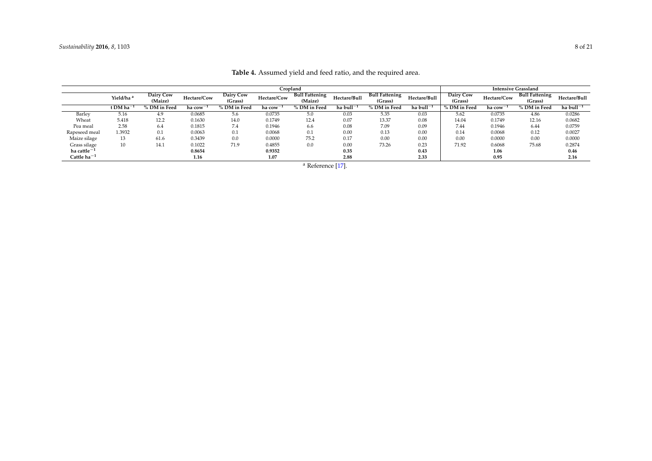<span id="page-7-0"></span>

|                       | Cropland              |                      |                     |                      |                     |                                  |                          |                                  |                      |                      | <b>Intensive Grassland</b> |                                  |                         |  |
|-----------------------|-----------------------|----------------------|---------------------|----------------------|---------------------|----------------------------------|--------------------------|----------------------------------|----------------------|----------------------|----------------------------|----------------------------------|-------------------------|--|
|                       | Yield/ha <sup>a</sup> | Dairy Cow<br>(Maize) | Hectare/Cow         | Dairy Cow<br>(Grass) | Hectare/Cow         | <b>Bull Fattening</b><br>(Maize) | Hectare/Bull             | <b>Bull Fattening</b><br>(Grass) | Hectare/Bull         | Dairy Cow<br>(Grass) | Hectare/Cow                | <b>Bull Fattening</b><br>(Grass) | Hectare/Bull            |  |
|                       | t DM ha               | % DM in Feed         | ha·cow <sup>-</sup> | % DM in Feed         | ha-cow <sup>-</sup> | % DM in Feed                     | $ha \cdot \text{bull}^-$ | % DM in Feed                     | ha·bull <sup>—</sup> | % DM in Feed         | ha·cow <sup>—</sup>        | % DM in Feed                     | ha $\cdot$ bull $^{-1}$ |  |
| Barley                | 5.16                  | 4.9                  | 0.0685              | 5.6                  | 0.0735              | 5.0                              | 0.03                     | 5.35                             | 0.03                 | 5.62                 | 0.0735                     | 4.86                             | 0.0286                  |  |
| Wheat                 | 5.418                 | 12.2                 | 0.1630              | 14.0                 | 0.1749              | 12.4                             | 0.07                     | 13.37                            | 0.08                 | 14.04                | 0.1749                     | 12.16                            | 0.0682                  |  |
| Pea meal              | 2.58                  | 6.4                  | 0.1815              | 7.4                  | 0.1946              | 6.6                              | 0.08                     | 7.09                             | 0.09                 | 7.44                 | 0.1946                     | 6.44                             | 0.0759                  |  |
| Rapeseed meal         | 1.3932                | $_{0.1}$             | 0.0063              | 0.1                  | 0.0068              | 0.1                              | 0.00                     | 0.13                             | 0.00                 | 0.14                 | 0.0068                     | 0.12                             | 0.0027                  |  |
| Maize silage          | 13                    | 61.6                 | 0.3439              | 0.0                  | 0.0000              | 75.2                             | 0.17                     | 0.00                             | 0.00                 | 0.00                 | 0.0000                     | 0.00                             | 0.0000                  |  |
| Grass silage          | 10                    | 14.1                 | 0.1022              | 71.9                 | 0.4855              | 0.0                              | 0.00                     | 73.26                            | 0.23                 | 71.92                | 0.6068                     | 75.68                            | 0.2874                  |  |
| ha cattle $^{-1}$     |                       |                      | 0.8654              |                      | 0.9352              |                                  | 0.35                     |                                  | 0.43                 |                      | 1.06                       |                                  | 0.46                    |  |
| Cattle ha $^{\rm -1}$ |                       |                      | 1.16                |                      | 1.07                |                                  | 2.88                     |                                  | 2.33                 |                      | 0.95                       |                                  | 2.16                    |  |

## **Table 4.** Assumed yield and feed ratio, and the required area.

<sup>a</sup> Reference [\[17\]](#page-17-18).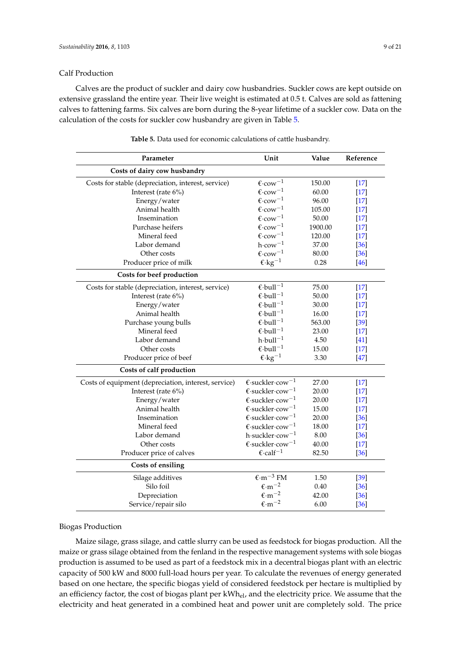## Calf Production

Calves are the product of suckler and dairy cow husbandries. Suckler cows are kept outside on extensive grassland the entire year. Their live weight is estimated at 0.5 t. Calves are sold as fattening calves to fattening farms. Six calves are born during the 8-year lifetime of a suckler cow. Data on the calculation of the costs for suckler cow husbandry are given in Table [5.](#page-8-0)

<span id="page-8-0"></span>

| Parameter                                            | Unit                                  | Value   | Reference |
|------------------------------------------------------|---------------------------------------|---------|-----------|
| Costs of dairy cow husbandry                         |                                       |         |           |
| Costs for stable (depreciation, interest, service)   | $\epsilon$ ·cow <sup>-1</sup>         | 150.00  | $[17]$    |
| Interest (rate 6%)                                   | $\epsilon$ ·cow <sup>-1</sup>         | 60.00   | $[17]$    |
| Energy/water                                         | $\epsilon$ ·cow <sup>-1</sup>         | 96.00   | $[17]$    |
| Animal health                                        | $\epsilon$ ·cow <sup>-1</sup>         | 105.00  | $[17]$    |
| Insemination                                         | $\epsilon$ ·cow <sup>-1</sup>         | 50.00   | $[17]$    |
| Purchase heifers                                     | $\epsilon$ ·cow <sup>-1</sup>         | 1900.00 | $[17]$    |
| Mineral feed                                         | $\epsilon$ ·cow <sup>-1</sup>         | 120.00  | $[17]$    |
| Labor demand                                         | $h$ ·cow <sup>-1</sup>                | 37.00   | $[36]$    |
| Other costs                                          | $\epsilon$ ·cow <sup>-1</sup>         | 80.00   | $[36]$    |
| Producer price of milk                               | $\epsilon$ ·kg <sup>-1</sup>          | 0.28    | $[46]$    |
| Costs for beef production                            |                                       |         |           |
| Costs for stable (depreciation, interest, service)   | $\epsilon$ -bull <sup>-1</sup>        | 75.00   | $[17]$    |
| Interest (rate 6%)                                   | $\epsilon$ -bull <sup>-1</sup>        | 50.00   | $[17]$    |
| Energy/water                                         | $\epsilon$ -bull <sup>-1</sup>        | 30.00   | $[17]$    |
| Animal health                                        | $\epsilon$ -bull <sup>-1</sup>        | 16.00   | $[17]$    |
| Purchase young bulls                                 | $\epsilon$ -bull <sup>-1</sup>        | 563.00  | $[39]$    |
| Mineral feed                                         | $\epsilon$ -bull <sup>-1</sup>        | 23.00   | $[17]$    |
| Labor demand                                         | $h \cdot \text{bull}^{-1}$            | 4.50    | $[41]$    |
| Other costs                                          | $\epsilon$ -bull <sup>-1</sup>        | 15.00   | $[17]$    |
| Producer price of beef                               | $\epsilon$ ·kg <sup>-1</sup>          | 3.30    | $[47]$    |
| Costs of calf production                             |                                       |         |           |
| Costs of equipment (depreciation, interest, service) | $\text{E-suckler-} \text{cow}^{-1}$   | 27.00   | $[17]$    |
| Interest (rate 6%)                                   | $\epsilon$ ·suckler·cow <sup>-1</sup> | 20.00   | $[17]$    |
| Energy/water                                         | $\epsilon$ ·suckler·cow <sup>-1</sup> | 20.00   | $[17]$    |
| Animal health                                        | $\epsilon$ ·suckler·cow <sup>-1</sup> | 15.00   | $[17]$    |
| Insemination                                         | $\epsilon$ ·suckler·cow <sup>-1</sup> | 20.00   | $[36]$    |
| Mineral feed                                         | $\epsilon$ -suckler-cow <sup>-1</sup> | 18.00   | $[17]$    |
| Labor demand                                         | h-suckler-cow <sup>-1</sup>           | 8.00    | [36]      |
| Other costs                                          | $\epsilon$ -suckler-cow <sup>-1</sup> | 40.00   | $[17]$    |
| Producer price of calves                             | $\epsilon$ ·calf <sup>-1</sup>        | 82.50   | [36]      |
| <b>Costs of ensiling</b>                             |                                       |         |           |
| Silage additives                                     | $\epsilon$ ·m <sup>-3</sup> FM        | 1.50    | $[39]$    |
| Silo foil                                            | $\epsilon$ ·m <sup>-2</sup>           | 0.40    | $[36]$    |
| Depreciation                                         | $\epsilon$ ·m <sup>-2</sup>           | 42.00   | $[36]$    |
| Service/repair silo                                  | $\varepsilon{\cdot}m^{-2}$            | 6.00    | $[36]$    |

**Table 5.** Data used for economic calculations of cattle husbandry.

## Biogas Production

Maize silage, grass silage, and cattle slurry can be used as feedstock for biogas production. All the maize or grass silage obtained from the fenland in the respective management systems with sole biogas production is assumed to be used as part of a feedstock mix in a decentral biogas plant with an electric capacity of 500 kW and 8000 full-load hours per year. To calculate the revenues of energy generated based on one hectare, the specific biogas yield of considered feedstock per hectare is multiplied by an efficiency factor, the cost of biogas plant per kWh<sub>el</sub>, and the electricity price. We assume that the electricity and heat generated in a combined heat and power unit are completely sold. The price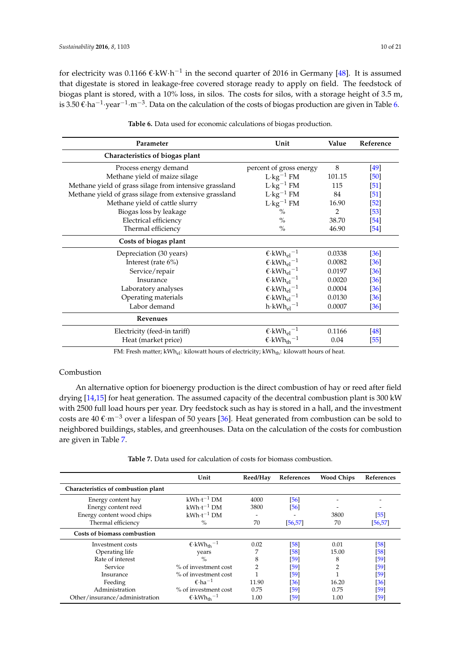for electricity was  $0.1166 \text{ €} \cdot \text{kW} \cdot \text{h}^{-1}$  in the second quarter of 2016 in Germany [\[48\]](#page-19-2). It is assumed that digestate is stored in leakage-free covered storage ready to apply on field. The feedstock of biogas plant is stored, with a 10% loss, in silos. The costs for silos, with a storage height of 3.5 m, is 3.50 €·ha<sup>-1</sup>·year<sup>-1</sup>·m<sup>-3</sup>. Data on the calculation of the costs of biogas production are given in Table [6.](#page-9-0)

<span id="page-9-0"></span>

| Parameter                                              | Unit                                        | Value  | Reference |
|--------------------------------------------------------|---------------------------------------------|--------|-----------|
| Characteristics of biogas plant                        |                                             |        |           |
| Process energy demand                                  | percent of gross energy                     | 8      | $[49]$    |
| Methane yield of maize silage                          | $L \cdot \text{kg}^{-1}$ FM                 | 101.15 | [50]      |
| Methane yield of grass silage from intensive grassland | $L \cdot kg^{-1}$ FM                        | 115    | $[51]$    |
| Methane yield of grass silage from extensive grassland | $L \cdot kg^{-1}$ FM                        | 84     | $[51]$    |
| Methane yield of cattle slurry                         | $L \cdot \text{kg}^{-1}$ FM                 | 16.90  | $[52]$    |
| Biogas loss by leakage                                 | $\frac{0}{0}$                               | 2      | $[53]$    |
| Electrical efficiency                                  | $\%$                                        | 38.70  | [54]      |
| Thermal efficiency                                     | $\%$                                        | 46.90  | $[54]$    |
| Costs of biogas plant                                  |                                             |        |           |
| Depreciation (30 years)                                | $\epsilon$ ·kWh <sub>el</sub> <sup>-1</sup> | 0.0338 | $[36]$    |
| Interest (rate $6\%$ )                                 | $\epsilon$ ·kWh <sub>el</sub> <sup>-1</sup> | 0.0082 | [36]      |
| Service/repair                                         | $\epsilon$ ·kWh <sub>el</sub> <sup>-1</sup> | 0.0197 | [36]      |
| Insurance                                              | $\epsilon$ ·kWh <sub>el</sub> <sup>-1</sup> | 0.0020 | [36]      |
| Laboratory analyses                                    | $\epsilon$ ·kWh <sub>el</sub> <sup>-1</sup> | 0.0004 | $[36]$    |
| Operating materials                                    | $\epsilon$ ·kWh <sub>el</sub> <sup>-1</sup> | 0.0130 | [36]      |
| Labor demand                                           | $h \cdot kWh_{el}^{-1}$                     | 0.0007 | $[36]$    |
| <b>Revenues</b>                                        |                                             |        |           |
| Electricity (feed-in tariff)                           | $\epsilon$ ·kWh <sub>el</sub> <sup>-1</sup> | 0.1166 | $[48]$    |
| Heat (market price)                                    | $\epsilon$ ·kWh <sub>th</sub> <sup>-1</sup> | 0.04   | $[55]$    |
| ----                                                   |                                             |        |           |

**Table 6.** Data used for economic calculations of biogas production.

FM: Fresh matter; kWh<sub>el</sub>: kilowatt hours of electricity; kWh<sub>th</sub>: kilowatt hours of heat.

## Combustion

An alternative option for bioenergy production is the direct combustion of hay or reed after field drying [\[14](#page-17-8)[,15\]](#page-17-17) for heat generation. The assumed capacity of the decentral combustion plant is 300 kW with 2500 full load hours per year. Dry feedstock such as hay is stored in a hall, and the investment costs are 40 €·m−<sup>3</sup> over a lifespan of 50 years [\[36\]](#page-18-10). Heat generated from combustion can be sold to neighbored buildings, stables, and greenhouses. Data on the calculation of the costs for combustion are given in Table [7.](#page-9-1)

**Table 7.** Data used for calculation of costs for biomass combustion.

<span id="page-9-1"></span>

| Unit                                        | Reed/Hay | References | <b>Wood Chips</b> | References |
|---------------------------------------------|----------|------------|-------------------|------------|
|                                             |          |            |                   |            |
| $kWh \cdot t^{-1} DM$                       | 4000     | [56]       |                   |            |
| $kWh \cdot t^{-1} DM$                       | 3800     | [56]       |                   |            |
| $kWh \cdot t^{-1} DM$                       |          |            | 3800              | [55]       |
| $\%$                                        | 70       | [56, 57]   | 70                | [56, 57]   |
|                                             |          |            |                   |            |
| $\text{E-kWh}_{\text{th}}^{-1}$             | 0.02     | [58]       | 0.01              | [58]       |
| years                                       |          | [58]       | 15.00             | [58]       |
| $\frac{0}{0}$                               | 8        | [59]       | 8                 | [59]       |
| % of investment cost                        | 2        | [59]       | 2                 | [59]       |
| % of investment cost                        |          | [59]       |                   | [59]       |
| $\epsilon$ ·ha <sup>-1</sup>                | 11.90    | [36]       | 16.20             | [36]       |
| % of investment cost                        | 0.75     | [59]       | 0.75              | [59]       |
| $\epsilon$ ·kWh <sub>th</sub> <sup>-1</sup> | 1.00     | [59]       | 1.00              | [59]       |
|                                             |          |            |                   |            |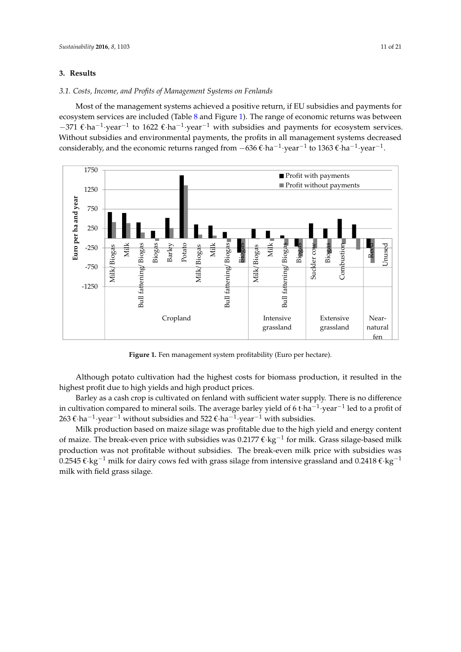## **3. Results**

## *3.1. Costs, Income, and Profits of Management Systems on Fenlands*

Most of the management systems achieved a positive return, if EU subsidies and payments for ecosystem services are included (Table [8](#page-12-0) and Figure [1\)](#page-10-0). The range of economic returns was between -371 €·ha<sup>-1</sup>·year<sup>-1</sup> to 1622 €·ha<sup>-1</sup>·year<sup>-1</sup> with subsidies and payments for ecosystem services. Without subsidies and environmental payments, the profits in all management systems decreased<br> $\frac{1}{2}$ considerably, and the economic returns ranged from  $-636 \text{ €}·h a^{-1}·year^{-1}$  to  $1363 \text{ €}·h a^{-1}·year^{-1}$ .

<span id="page-10-0"></span>

**Figure 1.** Fen management system profitability (Euro per hectare). **Figure 1.** Fen management system profitability (Euro per hectare).

Although potato cultivation had the highest costs for biomass production, it resulted in the Although potato cultivation had the highest costs for biomass production, it resulted in the highest profit due to high yields and high product prices.<br><u>There is no difference</u> is no difference is no difference is no difference is no difference in the supply of the

Barley as a cash crop is cultivated on fenland with sufficient water supply. There is no difference in cultivation compared to mineral soils. The average barley yield of 6 t $\cdot$ ha $^{-1}\cdot$ year $^{-1}$  led to a profit of 263 €·ha<sup>-1</sup>·year<sup>-1</sup> without subsidies and 522 €·ha<sup>-1</sup>·year<sup>-1</sup> with subsidies.

Milk production based on maize silage was profitable due to the high yield and energy content of maize. The break-even price with subsidies was 0.2177 € $\cdot$ kg<sup>-1</sup> for milk. Grass silage-based milk production was not profitable without subsidies. The break-even milk price with subsidies was 0.2545 €·kg $^{-1}$  milk for dairy cows fed with grass silage from intensive grassland and 0.2418 €·kg $^{-1}$ milk with field grass silage.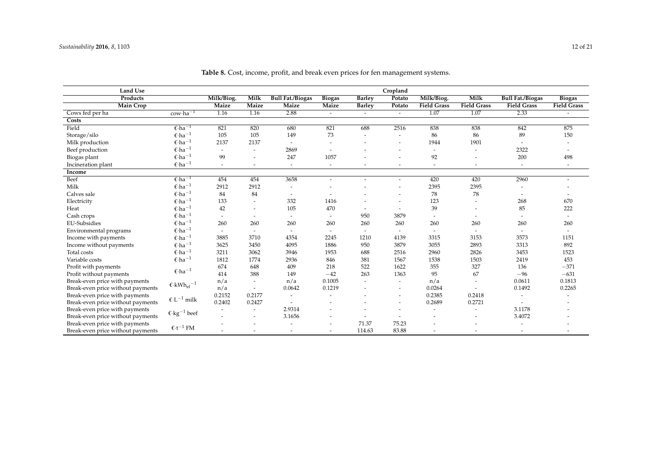| <b>Land Use</b>                   |                                                |                          |                          |                          |                          |                          | Cropland                 |                          |                          |                          |                          |
|-----------------------------------|------------------------------------------------|--------------------------|--------------------------|--------------------------|--------------------------|--------------------------|--------------------------|--------------------------|--------------------------|--------------------------|--------------------------|
| Products                          |                                                | Milk/Biog.               | <b>Milk</b>              | <b>Bull Fat./Biogas</b>  | <b>Biogas</b>            | <b>Barley</b>            | Potato                   | Milk/Biog.               | <b>Milk</b>              | <b>Bull Fat./Biogas</b>  | <b>Biogas</b>            |
| <b>Main Crop</b>                  |                                                | Maize                    | <b>Maize</b>             | Maize                    | Maize                    | <b>Barley</b>            | Potato                   | <b>Field Grass</b>       | <b>Field Grass</b>       | <b>Field Grass</b>       | <b>Field Grass</b>       |
| Cows fed per ha                   | $\text{row} \cdot \text{ha}^{-1}$              | 1.16                     | 1.16                     | 2.88                     | ٠                        | $\sim$                   | $\overline{\phantom{a}}$ | 1.07                     | 1.07                     | 2.33                     |                          |
| Costs                             |                                                |                          |                          |                          |                          |                          |                          |                          |                          |                          |                          |
| Field                             | $\epsilon$ ·ha <sup>-1</sup>                   | 821                      | 820                      | 680                      | 821                      | 688                      | 2516                     | 838                      | 838                      | 842                      | 875                      |
| Storage/silo                      | $\epsilon$ ·ha <sup>-1</sup>                   | 105                      | 105                      | 149                      | 73                       |                          |                          | 86                       | 86                       | 89                       | 150                      |
| Milk production                   | $\epsilon$ ·ha <sup>-1</sup>                   | 2137                     | 2137                     | $\overline{\phantom{a}}$ | $\overline{\phantom{a}}$ |                          |                          | 1944                     | 1901                     | $\tilde{\phantom{a}}$    |                          |
| Beef production                   | $\epsilon$ ·ha <sup>-1</sup>                   |                          |                          | 2869                     |                          |                          |                          |                          |                          | 2322                     |                          |
| Biogas plant                      | $\epsilon$ ·ha <sup>-1</sup>                   | 99                       |                          | 247                      | 1057                     |                          |                          | 92                       |                          | 200                      | 498                      |
| Incineration plant                | $\epsilon$ ·ha <sup>-1</sup>                   | $\overline{a}$           | $\overline{\phantom{a}}$ | $\sim$                   | $\sim$                   |                          |                          | $\tilde{\phantom{a}}$    |                          | $\overline{\phantom{a}}$ | $\overline{\phantom{a}}$ |
| Income                            |                                                |                          |                          |                          |                          |                          |                          |                          |                          |                          |                          |
| Beef                              | $\epsilon$ ·ha <sup>-1</sup>                   | 454                      | 454                      | 3658                     |                          |                          |                          | 420                      | 420                      | 2960                     |                          |
| Milk                              | $\epsilon$ ·ha <sup>-1</sup>                   | 2912                     | 2912                     | $\overline{\phantom{a}}$ |                          |                          |                          | 2395                     | 2395                     |                          |                          |
| Calves sale                       | $\epsilon$ ·ha <sup>-1</sup>                   | 84                       | 84                       | $\sim$                   |                          |                          |                          | 78                       | 78                       | $\overline{\phantom{a}}$ |                          |
| Electricity                       | $\epsilon$ ·ha <sup>-1</sup>                   | 133                      | $\overline{\phantom{a}}$ | 332                      | 1416                     |                          | $\overline{\phantom{a}}$ | 123                      |                          | 268                      | 670                      |
| Heat                              | $\epsilon$ ·ha <sup>-1</sup>                   | 42                       | $\sim$                   | 105                      | 470                      |                          |                          | 39                       |                          | 85                       | 222                      |
| Cash crops                        | $\epsilon$ ·ha <sup>-1</sup>                   |                          | $\overline{\phantom{a}}$ | $\overline{\phantom{a}}$ |                          | 950                      | 3879                     |                          |                          |                          |                          |
| EU-Subsidies                      | $\epsilon$ ·ha <sup>-1</sup>                   | 260                      | 260                      | 260                      | 260                      | 260                      | 260                      | 260                      | 260                      | 260                      | 260                      |
| Environmental programs            | $\epsilon$ ·ha <sup>-1</sup>                   | $\overline{\phantom{a}}$ | $\sim$                   | $\overline{\phantom{a}}$ | $\overline{\phantom{a}}$ | $\sim$                   |                          | $\overline{\phantom{a}}$ | $\overline{\phantom{a}}$ |                          |                          |
| Income with payments              | $\epsilon$ ·ha <sup>-1</sup>                   | 3885                     | 3710                     | 4354                     | 2245                     | 1210                     | 4139                     | 3315                     | 3153                     | 3573                     | 1151                     |
| Income without payments           | $\epsilon$ ·ha <sup>-1</sup>                   | 3625                     | 3450                     | 4095                     | 1886                     | 950                      | 3879                     | 3055                     | 2893                     | 3313                     | 892                      |
| Total costs                       | $\epsilon$ ·ha <sup>-1</sup>                   | 3211                     | 3062                     | 3946                     | 1953                     | 688                      | 2516                     | 2960                     | 2826                     | 3453                     | 1523                     |
| Variable costs                    | $\epsilon$ ·ha <sup>-1</sup>                   | 1812                     | 1774                     | 2936                     | 846                      | 381                      | 1567                     | 1538                     | 1503                     | 2419                     | 453                      |
| Profit with payments              |                                                | 674                      | 648                      | 409                      | 218                      | 522                      | 1622                     | 355                      | 327                      | 136                      | $-371$                   |
| Profit without payments           | $\epsilon$ ·ha <sup>-1</sup>                   | 414                      | 388                      | 149                      | $-42$                    | 263                      | 1363                     | 95                       | 67                       | $-96$                    | $-631$                   |
| Break-even price with payments    |                                                | n/a                      | $\overline{\phantom{a}}$ | n/a                      | 0.1005                   | $\overline{\phantom{a}}$ | $\overline{\phantom{a}}$ | n/a                      |                          | 0.0611                   | 0.1813                   |
| Break-even price without payments | $\epsilon$ ·kWh <sub>el</sub> <sup>-1</sup>    | n/a                      | $\overline{\phantom{a}}$ | 0.0642                   | 0.1219                   |                          |                          | 0.0264                   |                          | 0.1492                   | 0.2265                   |
| Break-even price with payments    |                                                | 0.2152                   | 0.2177                   | $\overline{\phantom{a}}$ |                          |                          | $\overline{\phantom{a}}$ | 0.2385                   | 0.2418                   |                          |                          |
| Break-even price without payments | $\mathop{\rm \mathfrak{C}\text{-}L^{-1}}$ milk | 0.2402                   | 0.2427                   |                          |                          |                          |                          | 0.2689                   | 0.2721                   |                          |                          |
| Break-even price with payments    | $\epsilon$ ·kg <sup>-1</sup> beef              |                          |                          | 2.9314                   |                          |                          |                          |                          |                          | 3.1178                   |                          |
| Break-even price without payments |                                                |                          |                          | 3.1656                   |                          |                          |                          |                          |                          | 3.4072                   |                          |
| Break-even price with payments    |                                                |                          | ٠                        | $\overline{\phantom{a}}$ |                          | 71.37                    | 75.23                    |                          |                          |                          |                          |
| Break-even price without payments | $\epsilon$ ·t <sup>-1</sup> FM                 |                          |                          |                          |                          | 114.63                   | 83.88                    |                          |                          |                          |                          |

**Table 8.** Cost, income, profit, and break even prices for fen management systems.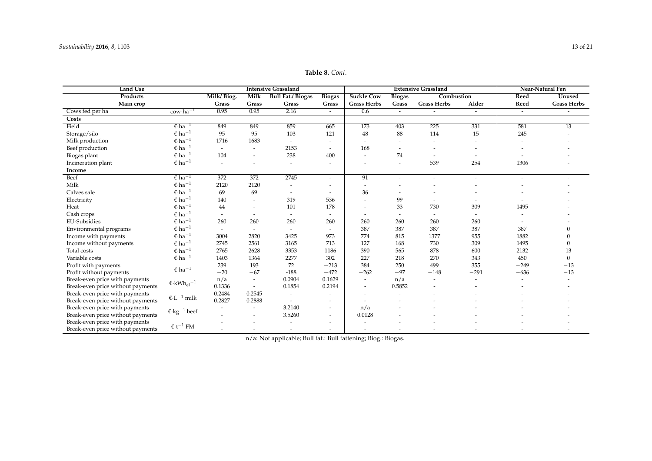## **Table 8.** *Cont.*

<span id="page-12-0"></span>

| <b>Land Use</b>                   |                                                    |                          | <b>Intensive Grassland</b> |                          |                          | <b>Extensive Grassland</b> | <b>Near-Natural Fen</b>  |                          |                          |                       |                    |
|-----------------------------------|----------------------------------------------------|--------------------------|----------------------------|--------------------------|--------------------------|----------------------------|--------------------------|--------------------------|--------------------------|-----------------------|--------------------|
| Products                          |                                                    | Milk/Biog.               | <b>Milk</b>                | <b>Bull Fat./ Biogas</b> | <b>Biogas</b>            | <b>Suckle Cow</b>          | <b>Biogas</b>            | Combustion               |                          | Reed                  | Unused             |
| Main crop                         |                                                    | Grass                    | Grass                      | Grass                    | Grass                    | <b>Grass Herbs</b>         | Grass                    | <b>Grass Herbs</b>       | Alder                    | Reed                  | <b>Grass Herbs</b> |
| Cows fed per ha                   | $\text{row} \cdot \text{ha}^{-1}$                  | 0.95                     | 0.95                       | 2.16                     | $\sim$                   | 0.6                        | $\overline{\phantom{a}}$ | $\overline{\phantom{a}}$ | $\overline{\phantom{a}}$ | $\sim$                |                    |
| Costs                             |                                                    |                          |                            |                          |                          |                            |                          |                          |                          |                       |                    |
| Field                             | $\overline{\text{E-ha}^{-1}}$                      | 849                      | 849                        | 859                      | 665                      | 173                        | 403                      | 225                      | 331                      | 581                   | $\overline{13}$    |
| Storage/silo                      | $\epsilon$ ·ha <sup>-1</sup>                       | 95                       | 95                         | 103                      | 121                      | 48                         | 88                       | 114                      | 15                       | 245                   |                    |
| Milk production                   | $\epsilon$ ·ha <sup>-1</sup>                       | 1716                     | 1683                       |                          |                          |                            |                          |                          |                          |                       |                    |
| Beef production                   | $\epsilon$ ·ha <sup>-1</sup>                       | $\overline{\phantom{a}}$ |                            | 2153                     | $\overline{\phantom{a}}$ | 168                        |                          |                          |                          |                       |                    |
| Biogas plant                      | $\epsilon$ ·ha <sup>-1</sup>                       | 104                      |                            | 238                      | 400                      |                            | 74                       | ÷                        |                          |                       |                    |
| Incineration plant                | $\epsilon$ ·ha <sup>-1</sup>                       | $\overline{\phantom{a}}$ |                            | $\overline{\phantom{a}}$ | $\tilde{\phantom{a}}$    |                            | $\overline{\phantom{a}}$ | 539                      | 254                      | 1306                  |                    |
| Income                            |                                                    |                          |                            |                          |                          |                            |                          |                          |                          |                       |                    |
| Beef                              | $\overline{\epsilon \cdot h a^{-1}}$               | 372                      | 372                        | 2745                     | ٠                        | 91                         |                          | ٠                        |                          | $\tilde{\phantom{a}}$ |                    |
| Milk                              | $\epsilon$ ·ha <sup>-1</sup>                       | 2120                     | 2120                       |                          |                          |                            |                          |                          |                          |                       |                    |
| Calves sale                       | $\epsilon$ ·ha <sup>-1</sup>                       | 69                       | 69                         | $\overline{\phantom{a}}$ | $\overline{\phantom{a}}$ | 36                         |                          |                          |                          |                       |                    |
| Electricity                       | $\epsilon$ ·ha <sup>-1</sup>                       | 140                      |                            | 319                      | 536                      |                            | 99                       |                          |                          |                       |                    |
| Heat                              | $\epsilon$ ·ha <sup>-1</sup>                       | 44                       |                            | 101                      | 178                      |                            | 33                       | 730                      | 309                      | 1495                  |                    |
| Cash crops                        | $\epsilon$ ·ha <sup>-1</sup>                       |                          |                            | $\overline{\phantom{a}}$ |                          |                            |                          |                          |                          |                       |                    |
| <b>EU-Subsidies</b>               | $\epsilon$ ·ha <sup>-1</sup>                       | 260                      | 260                        | 260                      | 260                      | 260                        | 260                      | 260                      | 260                      |                       |                    |
| Environmental programs            | $\epsilon$ ·ha <sup>-1</sup>                       | $\overline{\phantom{a}}$ | $\overline{\phantom{a}}$   | $\overline{\phantom{a}}$ | $\overline{\phantom{a}}$ | 387                        | 387                      | 387                      | 387                      | 387                   |                    |
| Income with payments              | $\epsilon$ ·ha <sup>-1</sup>                       | 3004                     | 2820                       | 3425                     | 973                      | 774                        | 815                      | 1377                     | 955                      | 1882                  |                    |
| Income without payments           | $\epsilon$ ·ha <sup>-1</sup>                       | 2745                     | 2561                       | 3165                     | 713                      | 127                        | 168                      | 730                      | 309                      | 1495                  |                    |
| Total costs                       | $\epsilon$ ·ha <sup>-1</sup>                       | 2765                     | 2628                       | 3353                     | 1186                     | 390                        | 565                      | 878                      | 600                      | 2132                  | 13                 |
| Variable costs                    | $\epsilon$ ·ha <sup>-1</sup>                       | 1403                     | 1364                       | 2277                     | 302                      | 227                        | 218                      | 270                      | 343                      | 450                   | $\mathbf{0}$       |
| Profit with payments              |                                                    | 239                      | 193                        | 72                       | $-213$                   | 384                        | 250                      | 499                      | 355                      | $-249$                | $-13$              |
| Profit without payments           | $\epsilon$ ·ha <sup>-1</sup>                       | $-20$                    | $-67$                      | $-188$                   | $-472$                   | $-262$                     | $-97$                    | $-148$                   | $-291$                   | $-636$                | $-13$              |
| Break-even price with payments    | $\varepsilon\cdot$ kWh <sub>el</sub> <sup>-1</sup> | n/a                      | $\overline{\phantom{a}}$   | 0.0904                   | 0.1629                   |                            | n/a                      | $\tilde{\phantom{a}}$    |                          |                       |                    |
| Break-even price without payments |                                                    | 0.1336                   | $\sim$                     | 0.1854                   | 0.2194                   |                            | 0.5852                   |                          |                          |                       |                    |
| Break-even price with payments    |                                                    | 0.2484                   | 0.2545                     |                          |                          |                            |                          |                          |                          |                       |                    |
| Break-even price without payments | $\epsilon$ ·L <sup>-1</sup> milk                   | 0.2827                   | 0.2888                     |                          | $\overline{\phantom{a}}$ |                            |                          |                          |                          |                       |                    |
| Break-even price with payments    | $\epsilon$ ·kg <sup>-1</sup> beef                  |                          |                            | 3.2140                   | $\overline{\phantom{a}}$ | n/a                        |                          |                          |                          |                       |                    |
| Break-even price without payments |                                                    |                          |                            | 3.5260                   | ٠                        | 0.0128                     |                          |                          |                          |                       |                    |
| Break-even price with payments    | $\epsilon$ + $^{-1}$ FM                            |                          |                            |                          | ٠                        |                            |                          |                          |                          |                       |                    |
| Break-even price without payments |                                                    |                          |                            |                          |                          |                            |                          |                          |                          |                       |                    |

n/a: Not applicable; Bull fat.: Bull fattening; Biog.: Biogas.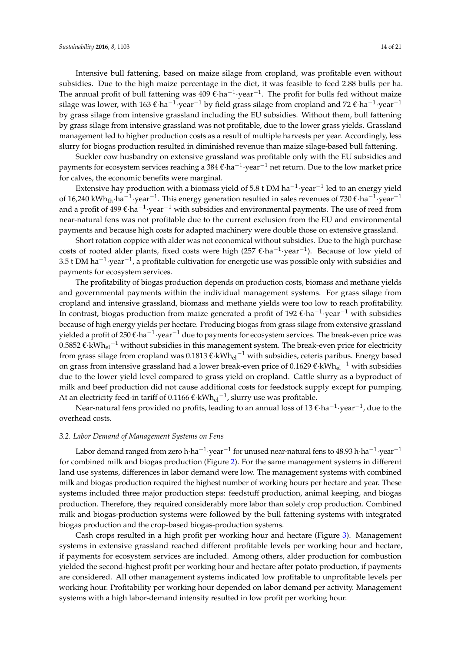Intensive bull fattening, based on maize silage from cropland, was profitable even without subsidies. Due to the high maize percentage in the diet, it was feasible to feed 2.88 bulls per ha. The annual profit of bull fattening was 409 €·ha<sup>-1</sup>·year<sup>-1</sup>. The profit for bulls fed without maize silage was lower, with 163 €·ha $^{-1}\cdot$ year $^{-1}$  by field grass silage from cropland and 72 €·ha $^{-1}\cdot$ year $^{-1}$ by grass silage from intensive grassland including the EU subsidies. Without them, bull fattening by grass silage from intensive grassland was not profitable, due to the lower grass yields. Grassland management led to higher production costs as a result of multiple harvests per year. Accordingly, less slurry for biogas production resulted in diminished revenue than maize silage-based bull fattening.

Suckler cow husbandry on extensive grassland was profitable only with the EU subsidies and payments for ecosystem services reaching a 384 €·ha $^{-1}\cdot$ year $^{-1}$  net return. Due to the low market price for calves, the economic benefits were marginal.

Extensive hay production with a biomass yield of 5.8 t DM ha $^{-1}$ ∙year $^{-1}$  led to an energy yield of 16,240 kWh<sub>th</sub>·ha<sup>-1</sup>·year<sup>-1</sup>. This energy generation resulted in sales revenues of 730 €·ha<sup>-1</sup>·year<sup>-1</sup> and a profit of 499 €·ha<sup>-1</sup>·year<sup>-1</sup> with subsidies and environmental payments. The use of reed from near-natural fens was not profitable due to the current exclusion from the EU and environmental payments and because high costs for adapted machinery were double those on extensive grassland.

Short rotation coppice with alder was not economical without subsidies. Due to the high purchase costs of rooted alder plants, fixed costs were high (257 €·ha<sup>-1</sup>·year<sup>-1</sup>). Because of low yield of 3.5 t DM ha $^{-1}$ ·year $^{-1}$ , a profitable cultivation for energetic use was possible only with subsidies and payments for ecosystem services.

The profitability of biogas production depends on production costs, biomass and methane yields and governmental payments within the individual management systems. For grass silage from cropland and intensive grassland, biomass and methane yields were too low to reach profitability. In contrast, biogas production from maize generated a profit of 192 €·ha<sup>-1</sup>·year<sup>-1</sup> with subsidies because of high energy yields per hectare. Producing biogas from grass silage from extensive grassland yielded a profit of 250 €·ha $^{-1}$ ·year $^{-1}$  due to payments for ecosystem services. The break-even price was 0.5852 €·kWh<sub>el</sub> $^{-1}$  without subsidies in this management system. The break-even price for electricity from grass silage from cropland was  $0.1813\,\mathrm{E\cdot kWh_{el}}^{-1}$  with subsidies, ceteris paribus. Energy based on grass from intensive grassland had a lower break-even price of  $0.1629 \text{ €}·kWh_{el}^{-1}$  with subsidies due to the lower yield level compared to grass yield on cropland. Cattle slurry as a byproduct of milk and beef production did not cause additional costs for feedstock supply except for pumping. At an electricity feed-in tariff of  $0.1166 \, \text{€} \cdot \text{kWh}_{\text{el}}{}^{-1}$ , slurry use was profitable.

Near-natural fens provided no profits, leading to an annual loss of 13 €·ha $^{-1}\cdot$ year $^{-1}$ , due to the overhead costs.

## *3.2. Labor Demand of Management Systems on Fens*

Labor demand ranged from zero h·ha $^{-1}\cdot$ year $^{-1}$  for unused near-natural fens to 48.93 h·ha $^{-1}\cdot$ year $^{-1}$ for combined milk and biogas production (Figure [2\)](#page-14-0). For the same management systems in different land use systems, differences in labor demand were low. The management systems with combined milk and biogas production required the highest number of working hours per hectare and year. These systems included three major production steps: feedstuff production, animal keeping, and biogas production. Therefore, they required considerably more labor than solely crop production. Combined milk and biogas-production systems were followed by the bull fattening systems with integrated biogas production and the crop-based biogas-production systems.

Cash crops resulted in a high profit per working hour and hectare (Figure [3\)](#page-15-0). Management systems in extensive grassland reached different profitable levels per working hour and hectare, if payments for ecosystem services are included. Among others, alder production for combustion yielded the second-highest profit per working hour and hectare after potato production, if payments are considered. All other management systems indicated low profitable to unprofitable levels per working hour. Profitability per working hour depended on labor demand per activity. Management systems with a high labor-demand intensity resulted in low profit per working hour.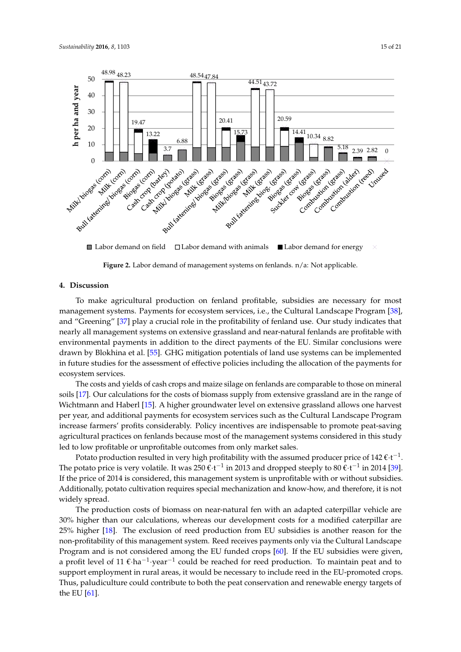<span id="page-14-0"></span>

 $\Box$  Labor demand on field  $\Box$  Labor demand with animals  $\Box$  Labor demand for energy



## **4. Discussion 4. Discussion**

To make agricultural production on fenland profitable, subsidies are necessary for most management systems. Payments for ecosystem services, i.e., the Cultural Landscape Program [38], management systems. Payments for ecosystem services, i.e., the Cultural Landscape Program [\[38\]](#page-18-12), and "Greening" [37] play a crucial role in the profitability of fenland use. Our study indicates that and "Greening" [\[37\]](#page-18-11) play a crucial role in the profitability of fenland use. Our study indicates that nearly all management systems on extensive grassland and near-natural fenlands are profitable with nearly all management systems on extensive grassland and near-natural fenlands are profitable with environmental payments in addition to the direct payments of the EU. Similar conclusions were drawn by Blokhina et al. [55]. GHG mitigation potentials of land use systems can be implemented in drawn by Blokhina et al. [\[55\]](#page-19-9). GHG mitigation potentials of land use systems can be implemented future studies for the assessment of effective policies including the allocation of the payments for in future studies for the assessment of effective policies including the allocation of the payments for ecosystem services. ecosystem services.

The costs and yields of cash crops and maize silage on fenlands are comparable to those on The costs and yields of cash crops and maize silage on fenlands are comparable to those on mineral soils [\[17\]](#page-17-9). Our calculations for the costs of biomass supply from extensive grassland are in the range of Wichtmann and Haberl [\[15\]](#page-17-17). A higher groundwater level on extensive grassland allows one harvest per year, and additional payments for ecosystem services such as the Cultural Landscape Program increase farmers' profits considerably. Policy incentives are indispensable to promote peat-saving agricultural practices on fenlands because most of the management systems considered in this study study led to low profitable or unprofitable outcomes from only market sales. led to low profitable or unprofitable outcomes from only market sales.

Potato production resulted in very high profitability with the assumed producer price of 142  $\epsilon$ ·t<sup>-1</sup>. The potato price is very volatile. It was 250  $\epsilon \cdot t^{-1}$  in 2013 and dropped steeply to 80  $\epsilon \cdot t^{-1}$  in 2014 [\[39\]](#page-18-13). 2014 [39]. If the price of 2014 is considered, this management system is unprofitable with or without If the price of 2014 is considered, this management system is unprofitable with or without subsidies. Additionally, potato cultivation requires special mechanization and know-how, and therefore, it is not widely spread.

The production costs of biomass on near-natural fen with an adapted caterpillar vehicle are 30% higher than our calculations, whereas our development costs for a modified caterpillar are 25% higher [\[18\]](#page-17-10). The exclusion of reed production from EU subsidies is another reason for the non-profitability of this management system. Reed receives payments only via the Cultural Landscape Program and is not considered among the EU funded crops  $[60]$ . If the EU subsidies were given, a profit level of 11 €·ha<sup>-1</sup>·year<sup>-1</sup> could be reached for reed production. To maintain peat and to support employment in rural areas, it would be necessary to include reed in the EU-promoted crops. Thus, paludiculture could contribute to both the peat conservation and renewable energy targets of  $\overline{O}$  [01]. the EU [\[61\]](#page-19-15).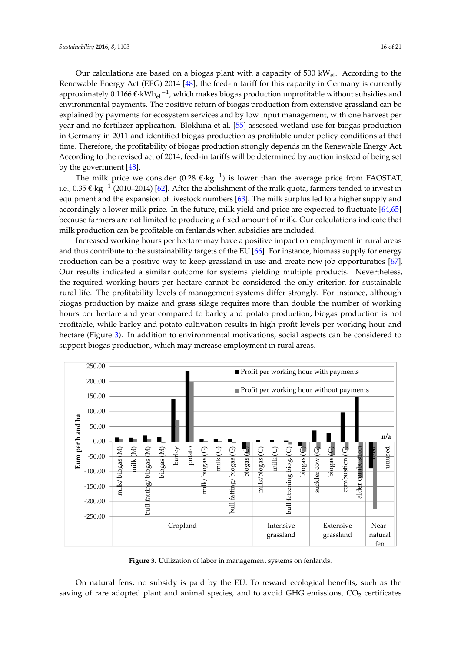Our calculations are based on a biogas plant with a capacity of 500 kW $_{el}$ . According to the Renewable Energy Act (EEG) 2014 [\[48\]](#page-19-2), the feed-in tariff for this capacity in Germany is currently approximately  $0.1166 \, \epsilon \cdot$ kWh<sub>el</sub> $^{-1}$ , which makes biogas production unprofitable without subsidies and environmental payments. The positive return of biogas production from extensive grassland can be explained by payments for ecosystem services and by low input management, with one harvest per year and no fertilizer application. Blokhina et al. [55] assessed wetland use for biogas production in Germany in 2011 and identified biogas production as profitable under policy conditions at that time. Therefore, the profitability of biogas production strongly depends on the Renewable Energy Act. According to the revised act of 2014, feed-in tariffs will be determined by auction instead of being set by the government  $[48]$ .

The milk price we consider (0.28 €⋅kg<sup>-1</sup>) is lower than the average price from FAOSTAT, i.e., 0.35 € $\cdot$ kg<sup>-1</sup> (2010–2014) [\[62\]](#page-19-16). After the abolishment of the milk quota, farmers tended to invest in equipment and the expansion of livestock numbers [\[63\]](#page-19-17). The milk surplus led to a higher supply and accordingly a lower milk price. In the future, milk yield and price are expected to fluctuate [\[64](#page-19-18)[,65\]](#page-19-19) because farmers are not limited to producing a fixed amount of milk. Our calculations indicate that milk production can be profitable on fenlands when subsidies are included.

Increased working hours per hectare may have a positive impact on employment in rural areas and thus contribute to the sustainability targets of the EU [\[66\]](#page-20-0). For instance, biomass supply for energy production can be a positive way to keep grassland in use and create new job opportunities  $[67]$ . Our results indicated a similar outcome for systems yielding multiple products. Nevertheless, The required working hours per hectare cannot be considered the only criterion for sustainable the required working notic per nectare cannot be considered the only criterion for sustainable rural life. The profitability levels of management systems differ strongly. For instance, although Final methods production by maize and grass silage requires more than double the number of working hours per hectare and year compared to barley and potato production, biogas production is not profitable, it is not profitable, while barley and potato cultivation results in high profit levels per working hour and hectare (Figure hectare (Figure [3\)](#page-15-0). In addition to environmental motivations, social aspects can be considered to support biogas production, which may increase employment in rural areas. production, which may increase employment in rural areas. production by maize and grass silage requires more than double the number of working hours per

<span id="page-15-0"></span>

**Figure 3.** Utilization of labor in management systems on fenlands. **Figure 3.** Utilization of labor in management systems on fenlands.

On natural fens, no subsidy is paid by the EU. To reward ecological benefits, such as the saving On natural fens, no subsidy is paid by the EU. To reward ecological benefits, such as the saving of rare adopted plant and animal species, and to avoid GHG emissions,  $\text{CO}_2$  certificates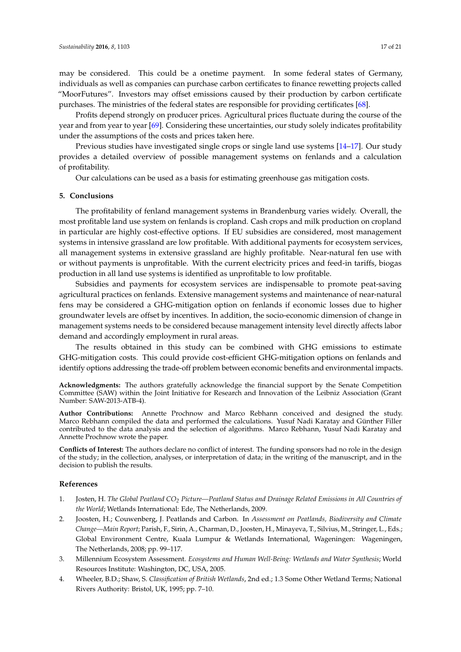may be considered. This could be a onetime payment. In some federal states of Germany, individuals as well as companies can purchase carbon certificates to finance rewetting projects called "MoorFutures". Investors may offset emissions caused by their production by carbon certificate purchases. The ministries of the federal states are responsible for providing certificates [\[68\]](#page-20-2).

Profits depend strongly on producer prices. Agricultural prices fluctuate during the course of the year and from year to year [\[69\]](#page-20-3). Considering these uncertainties, our study solely indicates profitability under the assumptions of the costs and prices taken here.

Previous studies have investigated single crops or single land use systems [\[14–](#page-17-8)[17\]](#page-17-9). Our study provides a detailed overview of possible management systems on fenlands and a calculation of profitability.

Our calculations can be used as a basis for estimating greenhouse gas mitigation costs.

## **5. Conclusions**

The profitability of fenland management systems in Brandenburg varies widely. Overall, the most profitable land use system on fenlands is cropland. Cash crops and milk production on cropland in particular are highly cost-effective options. If EU subsidies are considered, most management systems in intensive grassland are low profitable. With additional payments for ecosystem services, all management systems in extensive grassland are highly profitable. Near-natural fen use with or without payments is unprofitable. With the current electricity prices and feed-in tariffs, biogas production in all land use systems is identified as unprofitable to low profitable.

Subsidies and payments for ecosystem services are indispensable to promote peat-saving agricultural practices on fenlands. Extensive management systems and maintenance of near-natural fens may be considered a GHG-mitigation option on fenlands if economic losses due to higher groundwater levels are offset by incentives. In addition, the socio-economic dimension of change in management systems needs to be considered because management intensity level directly affects labor demand and accordingly employment in rural areas.

The results obtained in this study can be combined with GHG emissions to estimate GHG-mitigation costs. This could provide cost-efficient GHG-mitigation options on fenlands and identify options addressing the trade-off problem between economic benefits and environmental impacts.

**Acknowledgments:** The authors gratefully acknowledge the financial support by the Senate Competition Committee (SAW) within the Joint Initiative for Research and Innovation of the Leibniz Association (Grant Number: SAW-2013-ATB-4).

**Author Contributions:** Annette Prochnow and Marco Rebhann conceived and designed the study. Marco Rebhann compiled the data and performed the calculations. Yusuf Nadi Karatay and Günther Filler contributed to the data analysis and the selection of algorithms. Marco Rebhann, Yusuf Nadi Karatay and Annette Prochnow wrote the paper.

**Conflicts of Interest:** The authors declare no conflict of interest. The funding sponsors had no role in the design of the study; in the collection, analyses, or interpretation of data; in the writing of the manuscript, and in the decision to publish the results.

#### **References**

- <span id="page-16-0"></span>1. Josten, H. *The Global Peatland CO<sup>2</sup> Picture—Peatland Status and Drainage Related Emissions in All Countries of the World*; Wetlands International: Ede, The Netherlands, 2009.
- <span id="page-16-1"></span>2. Joosten, H.; Couwenberg, J. Peatlands and Carbon. In *Assessment on Peatlands, Biodiversity and Climate Change—Main Report*; Parish, F., Sirin, A., Charman, D., Joosten, H., Minayeva, T., Silvius, M., Stringer, L., Eds.; Global Environment Centre, Kuala Lumpur & Wetlands International, Wageningen: Wageningen, The Netherlands, 2008; pp. 99–117.
- <span id="page-16-2"></span>3. Millennium Ecosystem Assessment. *Ecosystems and Human Well-Being: Wetlands and Water Synthesis*; World Resources Institute: Washington, DC, USA, 2005.
- <span id="page-16-3"></span>4. Wheeler, B.D.; Shaw, S. *Classification of British Wetlands*, 2nd ed.; 1.3 Some Other Wetland Terms; National Rivers Authority: Bristol, UK, 1995; pp. 7–10.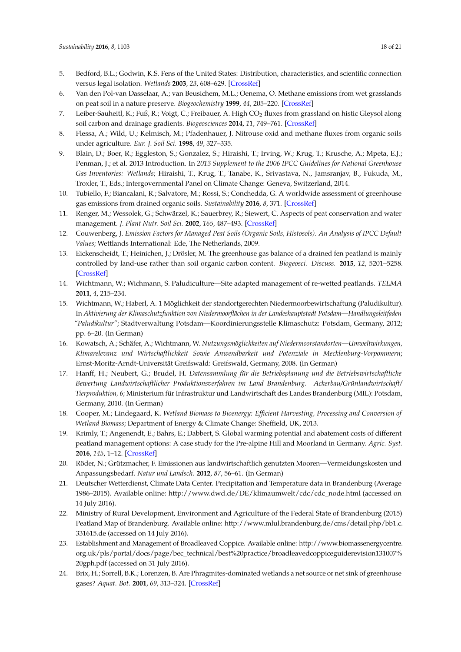- <span id="page-17-0"></span>5. Bedford, B.L.; Godwin, K.S. Fens of the United States: Distribution, characteristics, and scientific connection versus legal isolation. *Wetlands* **2003**, *23*, 608–629. [\[CrossRef\]](http://dx.doi.org/10.1672/0277-5212(2003)023[0608:FOTUSD]2.0.CO;2)
- <span id="page-17-1"></span>6. Van den Pol-van Dasselaar, A.; van Beusichem, M.L.; Oenema, O. Methane emissions from wet grasslands on peat soil in a nature preserve. *Biogeochemistry* **1999**, *44*, 205–220. [\[CrossRef\]](http://dx.doi.org/10.1007/BF00992979)
- 7. Leiber-Sauheitl, K.; Fuß, R.; Voigt, C.; Freibauer, A. High CO<sub>2</sub> fluxes from grassland on histic Gleysol along soil carbon and drainage gradients. *Biogeosciences* **2014**, *11*, 749–761. [\[CrossRef\]](http://dx.doi.org/10.5194/bg-11-749-2014)
- <span id="page-17-2"></span>8. Flessa, A.; Wild, U.; Kelmisch, M.; Pfadenhauer, J. Nitrouse oxid and methane fluxes from organic soils under agriculture. *Eur. J. Soil Sci.* **1998**, *49*, 327–335.
- <span id="page-17-3"></span>9. Blain, D.; Boer, R.; Eggleston, S.; Gonzalez, S.; Hiraishi, T.; Irving, W.; Krug, T.; Krusche, A.; Mpeta, E.J.; Penman, J.; et al. 2013 Introduction. In *2013 Supplement to the 2006 IPCC Guidelines for National Greenhouse Gas Inventories: Wetlands*; Hiraishi, T., Krug, T., Tanabe, K., Srivastava, N., Jamsranjav, B., Fukuda, M., Troxler, T., Eds.; Intergovernmental Panel on Climate Change: Geneva, Switzerland, 2014.
- <span id="page-17-18"></span><span id="page-17-4"></span>10. Tubiello, F.; Biancalani, R.; Salvatore, M.; Rossi, S.; Conchedda, G. A worldwide assessment of greenhouse gas emissions from drained organic soils. *Sustainability* **2016**, *8*, 371. [\[CrossRef\]](http://dx.doi.org/10.3390/su8040371)
- <span id="page-17-5"></span>11. Renger, M.; Wessolek, G.; Schwärzel, K.; Sauerbrey, R.; Siewert, C. Aspects of peat conservation and water management. *J. Plant Nutr. Soil Sci.* **2002**, *165*, 487–493. [\[CrossRef\]](http://dx.doi.org/10.1002/1522-2624(200208)165:4<487::AID-JPLN487>3.0.CO;2-C)
- <span id="page-17-6"></span>12. Couwenberg, J. *Emission Factors for Managed Peat Soils (Organic Soils, Histosols). An Analysis of IPCC Default Values*; Wettlands International: Ede, The Netherlands, 2009.
- <span id="page-17-7"></span>13. Eickenscheidt, T.; Heinichen, J.; Drösler, M. The greenhouse gas balance of a drained fen peatland is mainly controlled by land-use rather than soil organic carbon content. *Biogeosci. Discuss.* **2015**, *12*, 5201–5258. [\[CrossRef\]](http://dx.doi.org/10.5194/bgd-12-5201-2015)
- <span id="page-17-8"></span>14. Wichtmann, W.; Wichmann, S. Paludiculture—Site adapted management of re-wetted peatlands. *TELMA* **2011**, *4*, 215–234.
- <span id="page-17-17"></span>15. Wichtmann, W.; Haberl, A. 1 Möglichkeit der standortgerechten Niedermoorbewirtschaftung (Paludikultur). In *Aktivierung der Klimaschutzfunktion von Niedermoorflächen in der Landeshauptstadt Potsdam—Handlungsleitfaden "Paludikultur"*; Stadtverwaltung Potsdam—Koordinierungsstelle Klimaschutz: Potsdam, Germany, 2012; pp. 6–20. (In German)
- 16. Kowatsch, A.; Schäfer, A.; Wichtmann, W. *Nutzungsmöglichkeiten auf Niedermoorstandorten—Umweltwirkungen, Klimarelevanz und Wirtschaftlichkeit Sowie Anwendbarkeit und Potenziale in Mecklenburg-Vorpommern*; Ernst-Moritz-Arndt-Universität Greifswald: Greifswald, Germany, 2008. (In German)
- <span id="page-17-9"></span>17. Hanff, H.; Neubert, G.; Brudel, H. *Datensammlung für die Betriebsplanung und die Betriebswirtschaftliche Bewertung Landwirtschaftlicher Produktionsverfahren im Land Brandenburg. Ackerbau/Grünlandwirtschaft/ Tierproduktion, 6*; Ministerium für Infrastruktur und Landwirtschaft des Landes Brandenburg (MIL): Potsdam, Germany, 2010. (In German)
- <span id="page-17-10"></span>18. Cooper, M.; Lindegaard, K. *Wetland Biomass to Bioenergy: Efficient Harvesting, Processing and Conversion of Wetland Biomass*; Department of Energy & Climate Change: Sheffield, UK, 2013.
- <span id="page-17-11"></span>19. Krimly, T.; Angenendt, E.; Bahrs, E.; Dabbert, S. Global warming potential and abatement costs of different peatland management options: A case study for the Pre-alpine Hill and Moorland in Germany. *Agric. Syst.* **2016**, *145*, 1–12. [\[CrossRef\]](http://dx.doi.org/10.1016/j.agsy.2016.02.009)
- <span id="page-17-12"></span>20. Röder, N.; Grützmacher, F. Emissionen aus landwirtschaftlich genutzten Mooren—Vermeidungskosten und Anpassungsbedarf. *Natur und Landsch.* **2012**, *87*, 56–61. (In German)
- <span id="page-17-13"></span>21. Deutscher Wetterdienst, Climate Data Center. Precipitation and Temperature data in Brandenburg (Average 1986–2015). Available online: [http://www.dwd.de/DE/klimaumwelt/cdc/cdc\\_node.html](http://www.dwd.de/DE/klimaumwelt/cdc/cdc_node.html) (accessed on 14 July 2016).
- <span id="page-17-14"></span>22. Ministry of Rural Development, Environment and Agriculture of the Federal State of Brandenburg (2015) Peatland Map of Brandenburg. Available online: [http://www.mlul.brandenburg.de/cms/detail.php/bb1.c.](http://www.mlul.brandenburg.de/cms/detail.php/bb1.c.331615.de) [331615.de](http://www.mlul.brandenburg.de/cms/detail.php/bb1.c.331615.de) (accessed on 14 July 2016).
- <span id="page-17-15"></span>23. Establishment and Management of Broadleaved Coppice. Available online: [http://www.biomassenergycentre.](http://www.biomassenergycentre.org.uk/pls/portal/docs/page/bec_technical/best%20practice/broadleavedcoppiceguiderevision131007%20gph.pdf) [org.uk/pls/portal/docs/page/bec\\_technical/best%20practice/broadleavedcoppiceguiderevision131007%](http://www.biomassenergycentre.org.uk/pls/portal/docs/page/bec_technical/best%20practice/broadleavedcoppiceguiderevision131007%20gph.pdf) [20gph.pdf](http://www.biomassenergycentre.org.uk/pls/portal/docs/page/bec_technical/best%20practice/broadleavedcoppiceguiderevision131007%20gph.pdf) (accessed on 31 July 2016).
- <span id="page-17-16"></span>24. Brix, H.; Sorrell, B.K.; Lorenzen, B. Are Phragmites-dominated wetlands a net source or net sink of greenhouse gases? *Aquat. Bot.* **2001**, *69*, 313–324. [\[CrossRef\]](http://dx.doi.org/10.1016/S0304-3770(01)00145-0)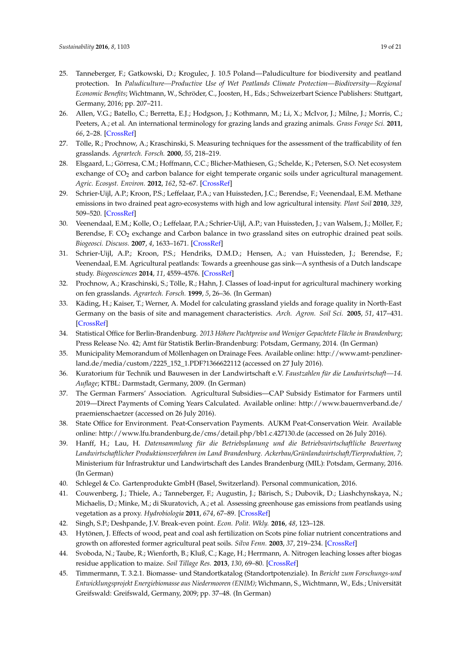- <span id="page-18-0"></span>25. Tanneberger, F.; Gatkowski, D.; Krogulec, J. 10.5 Poland—Paludiculture for biodiversity and peatland protection. In *Paludiculture—Productive Use of Wet Peatlands Climate Protection—Biodiversity—Regional Economic Benefits*; Wichtmann, W., Schröder, C., Joosten, H., Eds.; Schweizerbart Science Publishers: Stuttgart, Germany, 2016; pp. 207–211.
- <span id="page-18-1"></span>26. Allen, V.G.; Batello, C.; Berretta, E.J.; Hodgson, J.; Kothmann, M.; Li, X.; McIvor, J.; Milne, J.; Morris, C.; Peeters, A.; et al. An international terminology for grazing lands and grazing animals. *Grass Forage Sci.* **2011**, *66*, 2–28. [\[CrossRef\]](http://dx.doi.org/10.1111/j.1365-2494.2010.00780.x)
- <span id="page-18-2"></span>27. Tölle, R.; Prochnow, A.; Kraschinski, S. Measuring techniques for the assessment of the trafficability of fen grasslands. *Agrartech. Forsch.* **2000**, *55*, 218–219.
- <span id="page-18-3"></span>28. Elsgaard, L.; Görresa, C.M.; Hoffmann, C.C.; Blicher-Mathiesen, G.; Schelde, K.; Petersen, S.O. Net ecosystem exchange of CO<sub>2</sub> and carbon balance for eight temperate organic soils under agricultural management. *Agric. Ecosyst. Environ.* **2012**, *162*, 52–67. [\[CrossRef\]](http://dx.doi.org/10.1016/j.agee.2012.09.001)
- 29. Schrier-Uijl, A.P.; Kroon, P.S.; Leffelaar, P.A.; van Huissteden, J.C.; Berendse, F.; Veenendaal, E.M. Methane emissions in two drained peat agro-ecosystems with high and low agricultural intensity. *Plant Soil* **2010**, *329*, 509–520. [\[CrossRef\]](http://dx.doi.org/10.1007/s11104-009-0180-1)
- <span id="page-18-4"></span>30. Veenendaal, E.M.; Kolle, O.; Leffelaar, P.A.; Schrier-Uijl, A.P.; van Huissteden, J.; van Walsem, J.; Möller, F.; Berendse, F. CO<sub>2</sub> exchange and Carbon balance in two grassland sites on eutrophic drained peat soils. *Biogeosci. Discuss.* **2007**, *4*, 1633–1671. [\[CrossRef\]](http://dx.doi.org/10.5194/bgd-4-1633-2007)
- <span id="page-18-5"></span>31. Schrier-Uijl, A.P.; Kroon, P.S.; Hendriks, D.M.D.; Hensen, A.; van Huissteden, J.; Berendse, F.; Veenendaal, E.M. Agricultural peatlands: Towards a greenhouse gas sink—A synthesis of a Dutch landscape study. *Biogeosciences* **2014**, *11*, 4559–4576. [\[CrossRef\]](http://dx.doi.org/10.5194/bg-11-4559-2014)
- <span id="page-18-6"></span>32. Prochnow, A.; Kraschinski, S.; Tölle, R.; Hahn, J. Classes of load-input for agricultural machinery working on fen grasslands. *Agrartech. Forsch.* **1999**, *5*, 26–36. (In German)
- <span id="page-18-20"></span><span id="page-18-7"></span>33. Käding, H.; Kaiser, T.; Werner, A. Model for calculating grassland yields and forage quality in North-East Germany on the basis of site and management characteristics. *Arch. Agron. Soil Sci.* **2005**, *51*, 417–431. [\[CrossRef\]](http://dx.doi.org/10.1080/03650340500078263)
- <span id="page-18-8"></span>34. Statistical Office for Berlin-Brandenburg. *2013 Höhere Pachtpreise und Weniger Gepachtete Fläche in Brandenburg*; Press Release No. 42; Amt für Statistik Berlin-Brandenburg: Potsdam, Germany, 2014. (In German)
- <span id="page-18-9"></span>35. Municipality Memorandum of Möllenhagen on Drainage Fees. Available online: [http://www.amt-penzliner](http://www.amt-penzliner-land.de/media/custom/2225_152_1.PDF?1366622112)[land.de/media/custom/2225\\_152\\_1.PDF?1366622112](http://www.amt-penzliner-land.de/media/custom/2225_152_1.PDF?1366622112) (accessed on 27 July 2016).
- <span id="page-18-19"></span><span id="page-18-10"></span>36. Kuratorium für Technik und Bauwesen in der Landwirtschaft e.V. *Faustzahlen für die Landwirtschaft—14. Auflage*; KTBL: Darmstadt, Germany, 2009. (In German)
- <span id="page-18-11"></span>37. The German Farmers' Association. Agricultural Subsidies—CAP Subsidy Estimator for Farmers until 2019—Direct Payments of Coming Years Calculated. Available online: [http://www.bauernverband.de/](http://www.bauernverband.de/praemienschaetzer) [praemienschaetzer](http://www.bauernverband.de/praemienschaetzer) (accessed on 26 July 2016).
- <span id="page-18-12"></span>38. State Office for Environment. Peat-Conservation Payments. AUKM Peat-Conservation Weir. Available online: <http://www.lfu.brandenburg.de/cms/detail.php/bb1.c.427130.de> (accessed on 26 July 2016).
- <span id="page-18-13"></span>39. Hanff, H.; Lau, H. *Datensammlung für die Betriebsplanung und die Betriebswirtschaftliche Bewertung Landwirtschaftlicher Produktionsverfahren im Land Brandenburg. Ackerbau/Grünlandwirtschaft/Tierproduktion, 7*; Ministerium für Infrastruktur und Landwirtschaft des Landes Brandenburg (MIL): Potsdam, Germany, 2016. (In German)
- <span id="page-18-15"></span><span id="page-18-14"></span>40. Schlegel & Co. Gartenprodukte GmbH (Basel, Switzerland). Personal communication, 2016.
- 41. Couwenberg, J.; Thiele, A.; Tanneberger, F.; Augustin, J.; Bärisch, S.; Dubovik, D.; Liashchynskaya, N.; Michaelis, D.; Minke, M.; di Skuratovich, A.; et al. Assessing greenhouse gas emissions from peatlands using vegetation as a proxy. *Hydrobiologia* **2011**, *674*, 67–89. [\[CrossRef\]](http://dx.doi.org/10.1007/s10750-011-0729-x)
- <span id="page-18-17"></span><span id="page-18-16"></span>42. Singh, S.P.; Deshpande, J.V. Break-even point. *Econ. Polit. Wkly.* **2016**, *48*, 123–128.
- 43. Hytönen, J. Effects of wood, peat and coal ash fertilization on Scots pine foliar nutrient concentrations and growth on afforested former agricultural peat soils. *Silva Fenn.* **2003**, *37*, 219–234. [\[CrossRef\]](http://dx.doi.org/10.14214/sf.503)
- <span id="page-18-18"></span>44. Svoboda, N.; Taube, R.; Wienforth, B.; Kluß, C.; Kage, H.; Herrmann, A. Nitrogen leaching losses after biogas residue application to maize. *Soil Tillage Res.* **2013**, *130*, 69–80. [\[CrossRef\]](http://dx.doi.org/10.1016/j.still.2013.02.006)
- 45. Timmermann, T. 3.2.1. Biomasse- und Standortkatalog (Standortpotenziale). In *Bericht zum Forschungs-und Entwicklungsprojekt Energiebiomasse aus Niedermooren (ENIM)*; Wichmann, S., Wichtmann, W., Eds.; Universität Greifswald: Greifswald, Germany, 2009; pp. 37–48. (In German)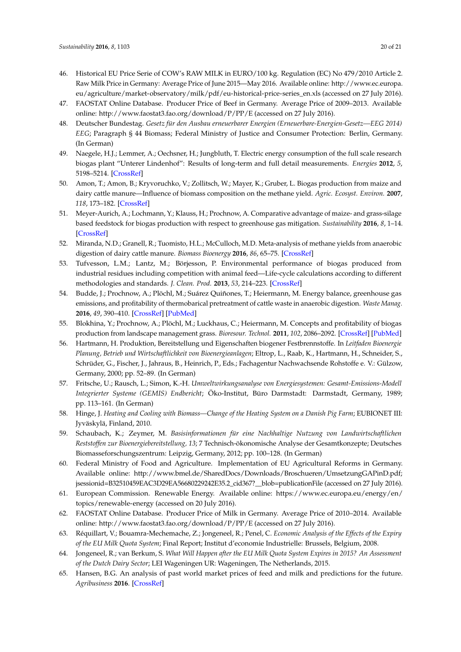- <span id="page-19-0"></span>46. Historical EU Price Serie of COW's RAW MILK in EURO/100 kg. Regulation (EC) No 479/2010 Article 2. Raw Milk Price in Germany: Average Price of June 2015—May 2016. Available online: [http://www.ec.europa.](http://www.ec.europa.eu/agriculture/market-observatory/milk/pdf/eu-historical-price-series_en.xls) [eu/agriculture/market-observatory/milk/pdf/eu-historical-price-series\\_en.xls](http://www.ec.europa.eu/agriculture/market-observatory/milk/pdf/eu-historical-price-series_en.xls) (accessed on 27 July 2016).
- <span id="page-19-1"></span>47. FAOSTAT Online Database. Producer Price of Beef in Germany. Average Price of 2009–2013. Available online: <http://www.faostat3.fao.org/download/P/PP/E> (accessed on 27 July 2016).
- <span id="page-19-2"></span>48. Deutscher Bundestag. *Gesetz für den Ausbau erneuerbarer Energien (Erneuerbare-Energien-Gesetz—EEG 2014) EEG*; Paragraph § 44 Biomass; Federal Ministry of Justice and Consumer Protection: Berlin, Germany. (In German)
- <span id="page-19-3"></span>49. Naegele, H.J.; Lemmer, A.; Oechsner, H.; Jungbluth, T. Electric energy consumption of the full scale research biogas plant "Unterer Lindenhof": Results of long-term and full detail measurements. *Energies* **2012**, *5*, 5198–5214. [\[CrossRef\]](http://dx.doi.org/10.3390/en5125198)
- <span id="page-19-4"></span>50. Amon, T.; Amon, B.; Kryvoruchko, V.; Zollitsch, W.; Mayer, K.; Gruber, L. Biogas production from maize and dairy cattle manure—Influence of biomass composition on the methane yield. *Agric. Ecosyst. Environ.* **2007**, *118*, 173–182. [\[CrossRef\]](http://dx.doi.org/10.1016/j.agee.2006.05.007)
- <span id="page-19-5"></span>51. Meyer-Aurich, A.; Lochmann, Y.; Klauss, H.; Prochnow, A. Comparative advantage of maize- and grass-silage based feedstock for biogas production with respect to greenhouse gas mitigation. *Sustainability* **2016**, *8*, 1–14. [\[CrossRef\]](http://dx.doi.org/10.3390/su8070617)
- <span id="page-19-6"></span>52. Miranda, N.D.; Granell, R.; Tuomisto, H.L.; McCulloch, M.D. Meta-analysis of methane yields from anaerobic digestion of dairy cattle manure. *Biomass Bioenergy* **2016**, *86*, 65–75. [\[CrossRef\]](http://dx.doi.org/10.1016/j.biombioe.2016.01.012)
- <span id="page-19-7"></span>53. Tufvesson, L.M.; Lantz, M.; Börjesson, P. Environmental performance of biogas produced from industrial residues including competition with animal feed—Life-cycle calculations according to different methodologies and standards. *J. Clean. Prod.* **2013**, *53*, 214–223. [\[CrossRef\]](http://dx.doi.org/10.1016/j.jclepro.2013.04.005)
- <span id="page-19-8"></span>54. Budde, J.; Prochnow, A.; Plöchl, M.; Suárez Quiñones, T.; Heiermann, M. Energy balance, greenhouse gas emissions, and profitability of thermobarical pretreatment of cattle waste in anaerobic digestion. *Waste Manag.* **2016**, *49*, 390–410. [\[CrossRef\]](http://dx.doi.org/10.1016/j.wasman.2015.12.003) [\[PubMed\]](http://www.ncbi.nlm.nih.gov/pubmed/26709050)
- <span id="page-19-9"></span>55. Blokhina, Y.; Prochnow, A.; Plöchl, M.; Luckhaus, C.; Heiermann, M. Concepts and profitability of biogas production from landscape management grass. *Bioresour. Technol.* **2011**, *102*, 2086–2092. [\[CrossRef\]](http://dx.doi.org/10.1016/j.biortech.2010.08.002) [\[PubMed\]](http://www.ncbi.nlm.nih.gov/pubmed/20801018)
- <span id="page-19-10"></span>56. Hartmann, H. Produktion, Bereitstellung und Eigenschaften biogener Festbrennstoffe. In *Leitfaden Bioenergie Planung, Betrieb und Wirtschaftlichkeit von Bioenergieanlagen*; Eltrop, L., Raab, K., Hartmann, H., Schneider, S., Schrüder, G., Fischer, J., Jahraus, B., Heinrich, P., Eds.; Fachagentur Nachwachsende Rohstoffe e. V.: Gülzow, Germany, 2000; pp. 52–89. (In German)
- <span id="page-19-11"></span>57. Fritsche, U.; Rausch, L.; Simon, K.-H. *Umweltwirkungsanalyse von Energiesystemen: Gesamt-Emissions-Modell Integrierter Systeme (GEMIS) Endbericht*; Öko-Institut, Büro Darmstadt: Darmstadt, Germany, 1989; pp. 113–161. (In German)
- <span id="page-19-12"></span>58. Hinge, J. *Heating and Cooling with Biomass—Change of the Heating System on a Danish Pig Farm*; EUBIONET III: Jyväskylä, Finland, 2010.
- <span id="page-19-13"></span>59. Schaubach, K.; Zeymer, M. *Basisinformationen für eine Nachhaltige Nutzung von Landwirtschaftlichen Reststoffen zur Bioenergiebereitstellung, 13*; 7 Technisch-ökonomische Analyse der Gesamtkonzepte; Deutsches Biomasseforschungszentrum: Leipzig, Germany, 2012; pp. 100–128. (In German)
- <span id="page-19-14"></span>60. Federal Ministry of Food and Agriculture. Implementation of EU Agricultural Reforms in Germany. Available online: [http://www.bmel.de/SharedDocs/Downloads/Broschueren/UmsetzungGAPinD.pdf;](http://www.bmel.de/SharedDocs/Downloads/Broschueren/UmsetzungGAPinD.pdf;jsessionid=B32510459EAC3D29EA56680229242E35.2_cid367?__blob=publicationFile) [jsessionid=B32510459EAC3D29EA56680229242E35.2\\_cid367?\\_\\_blob=publicationFile](http://www.bmel.de/SharedDocs/Downloads/Broschueren/UmsetzungGAPinD.pdf;jsessionid=B32510459EAC3D29EA56680229242E35.2_cid367?__blob=publicationFile) (accessed on 27 July 2016).
- <span id="page-19-15"></span>61. European Commission. Renewable Energy. Available online: [https://www.ec.europa.eu/energy/en/](https://www.ec.europa.eu/energy/en/topics/renewable-energy) [topics/renewable-energy](https://www.ec.europa.eu/energy/en/topics/renewable-energy) (accessed on 20 July 2016).
- <span id="page-19-16"></span>62. FAOSTAT Online Database. Producer Price of Milk in Germany. Average Price of 2010–2014. Available online: <http://www.faostat3.fao.org/download/P/PP/E> (accessed on 27 July 2016).
- <span id="page-19-17"></span>63. Réquillart, V.; Bouamra-Mechemache, Z.; Jongeneel, R.; Penel, C. *Economic Analysis of the Effects of the Expiry of the EU Milk Quota System*; Final Report; Institut d'economie Industrielle: Brussels, Belgium, 2008.
- <span id="page-19-18"></span>64. Jongeneel, R.; van Berkum, S. *What Will Happen after the EU Milk Quota System Expires in 2015? An Assessment of the Dutch Dairy Sector*; LEI Wageningen UR: Wageningen, The Netherlands, 2015.
- <span id="page-19-19"></span>65. Hansen, B.G. An analysis of past world market prices of feed and milk and predictions for the future. *Agribusiness* **2016**. [\[CrossRef\]](http://dx.doi.org/10.1002/agr.21474)